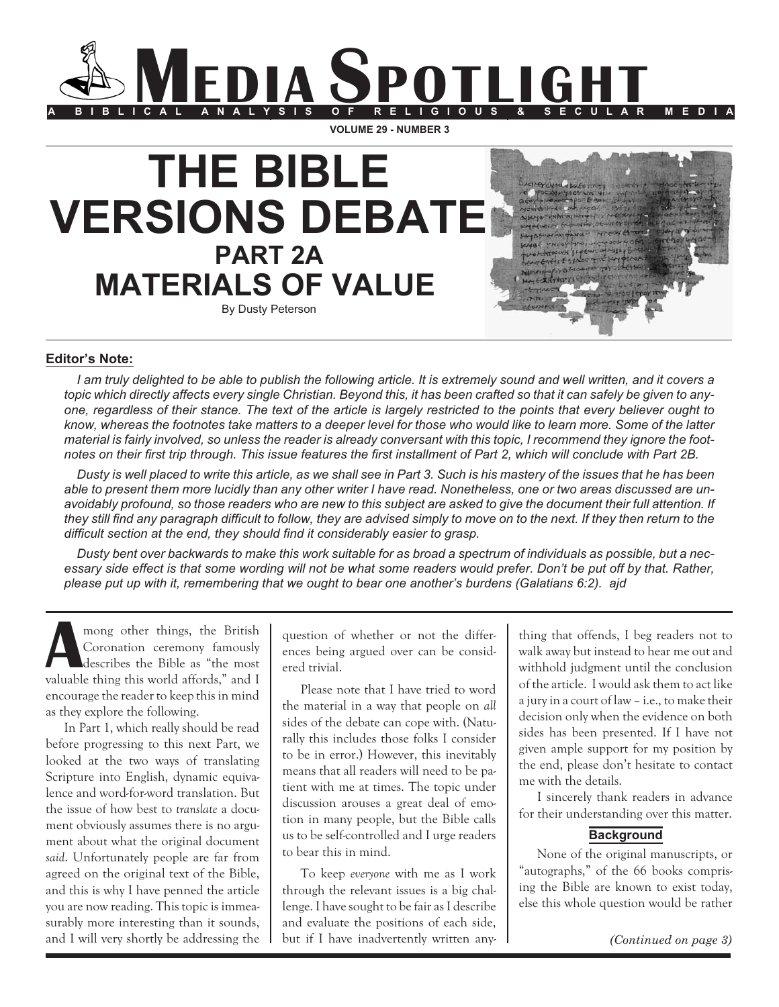

**THE BIBLE VERSIONS DEBATE PART 2A MATERIALS OF VALUE** By Dusty Peterson

# **Editor's Note:**

*I am truly delighted to be able to publish the following article. It is extremely sound and well written, and it covers a topic which directly affects every single Christian. Beyond this, it has been crafted so that it can safely be given to anyone, regardless of their stance. The text of the article is largely restricted to the points that every believer ought to know, whereas the footnotes take matters to a deeper level for those who would like to learn more. Some of the latter material is fairly involved, so unless the reader is already conversant with this topic, I recommend they ignore the footnotes on their first trip through. This issue features the first installment of Part 2, which will conclude with Part 2B.*

*Dusty is well placed to write this article, as we shall see in Part 3. Such is his mastery of the issues that he has been able to present them more lucidly than any other writer I have read. Nonetheless, one or two areas discussed are unavoidably profound, so those readers who are new to this subject are asked to give the document their full attention. If they still find any paragraph difficult to follow, they are advised simply to move on to the next. If they then return to the difficult section at the end, they should find it considerably easier to grasp.*

*Dusty bent over backwards to make this work suitable for as broad a spectrum of individuals as possible, but a necessary side effect is that some wording will not be what some readers would prefer. Don't be put off by that. Rather, please put up with it, remembering that we ought to bear one another's burdens (Galatians 6:2). ajd*

**Among other things, the British**<br>Coronation ceremony famously<br>describes the Bible as "the most Coronation ceremony famously valuable thing this world affords," and I encourage the reader to keep this in mind as they explore the following.

In Part 1, which really should be read before progressing to this next Part, we looked at the two ways of translating Scripture into English, dynamic equivalence and word-for-word translation. But the issue of how best to *translate* a document obviously assumes there is no argument about what the original document *said*. Unfortunately people are far from agreed on the original text of the Bible, and this is why I have penned the article you are now reading. This topic is immeasurably more interesting than it sounds, and I will very shortly be addressing the question of whether or not the differences being argued over can be considered trivial.

Please note that I have tried to word the material in a way that people on *all* sides of the debate can cope with. (Naturally this includes those folks I consider to be in error.) However, this inevitably means that all readers will need to be patient with me at times. The topic under discussion arouses a great deal of emotion in many people, but the Bible calls us to be self-controlled and I urge readers to bear this in mind.

To keep *everyone* with me as I work through the relevant issues is a big challenge. I have sought to be fair as I describe and evaluate the positions of each side, but if I have inadvertently written anything that offends, I beg readers not to walk away but instead to hear me out and withhold judgment until the conclusion of the article. I would ask them to act like a jury in a court of law – i.e., to make their decision only when the evidence on both sides has been presented. If I have not given ample support for my position by the end, please don't hesitate to contact me with the details.

I sincerely thank readers in advance for their understanding over this matter.

# **Background**

None of the original manuscripts, or "autographs," of the 66 books comprising the Bible are known to exist today, else this whole question would be rather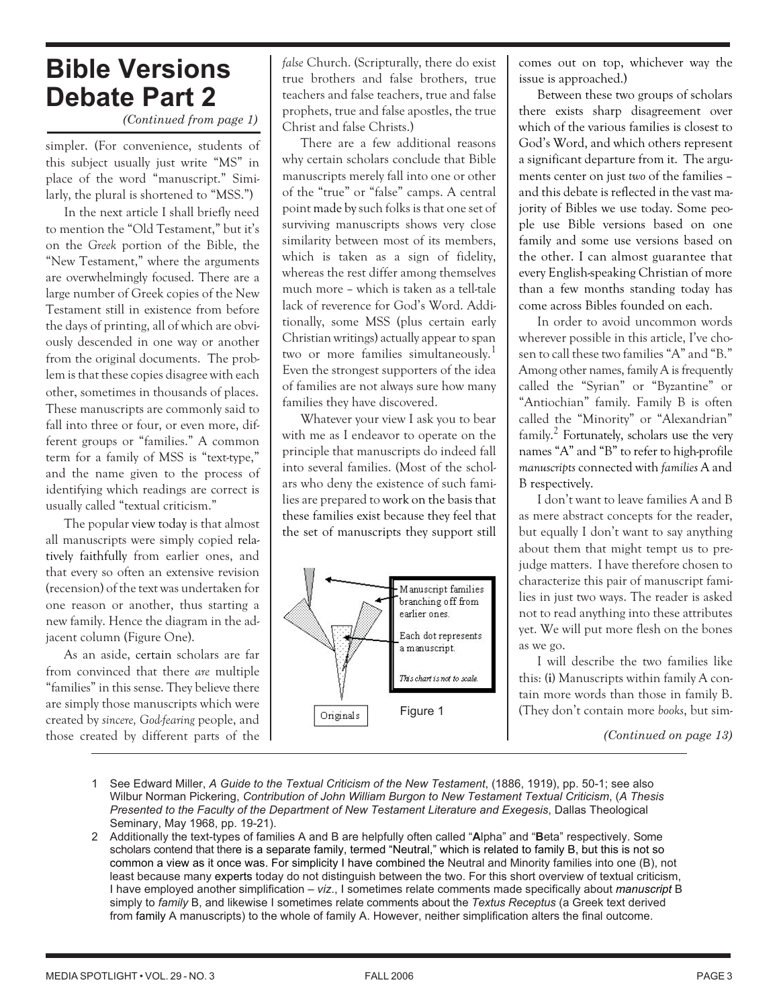# **Bible Versions Debate Part 2**

*(Continued from page 1)*

simpler. (For convenience, students of this subject usually just write "MS" in place of the word "manuscript." Similarly, the plural is shortened to "MSS.")

In the next article I shall briefly need to mention the "Old Testament," but it's on the *Greek* portion of the Bible, the "New Testament," where the arguments are overwhelmingly focused. There are a large number of Greek copies of the New Testament still in existence from before the days of printing, all of which are obviously descended in one way or another from the original documents. The problem is that these copies disagree with each other, sometimes in thousands of places. These manuscripts are commonly said to fall into three or four, or even more, different groups or "families." A common term for a family of MSS is "text-type," and the name given to the process of identifying which readings are correct is usually called "textual criticism."

The popular view today is that almost all manuscripts were simply copied relatively faithfully from earlier ones, and that every so often an extensive revision (recension) of the text was undertaken for one reason or another, thus starting a new family. Hence the diagram in the adjacent column (Figure One).

As an aside, certain scholars are far from convinced that there *are* multiple "families" in this sense. They believe there are simply those manuscripts which were created by *sincere, God-fearing* people, and those created by different parts of the

*false* Church. (Scripturally, there do exist true brothers and false brothers, true teachers and false teachers, true and false prophets, true and false apostles, the true Christ and false Christs.)

There are a few additional reasons why certain scholars conclude that Bible manuscripts merely fall into one or other of the "true" or "false" camps. A central point made bysuch folks is that one set of surviving manuscripts shows very close similarity between most of its members, which is taken as a sign of fidelity, whereas the rest differ among themselves much more – which is taken as a tell-tale lack of reverence for God's Word. Additionally, some MSS (plus certain early Christian writings) actually appear to span two or more families simultaneously.<sup>1</sup> Even the strongest supporters of the idea of families are not always sure how many families they have discovered.

Whatever your view I ask you to bear with me as I endeavor to operate on the principle that manuscripts do indeed fall into several families. (Most of the scholars who deny the existence of such families are prepared to work on the basis that these families exist because they feel that the set of manuscripts they support still



comes out on top, whichever way the issue is approached.)

Between these two groups of scholars there exists sharp disagreement over which of the various families is closest to God's Word, and which others represent a significant departure from it. The arguments center on just *two* of the families – and this debate is reflected in the vast majority of Bibles we use today. Some people use Bible versions based on one family and some use versions based on the other. I can almost guarantee that every English-speaking Christian of more than a few months standing today has come across Bibles founded on each.

In order to avoid uncommon words wherever possible in this article, I've chosen to call these two families "A" and "B." Among other names, family A is frequently called the "Syrian" or "Byzantine" or "Antiochian" family. Family B is often called the "Minority" or "Alexandrian" family.<sup>2</sup> Fortunately, scholars use the very names "A" and "B" to refer to high-profile *manuscripts* connected with *families* A and B respectively.

I don't want to leave families A and B as mere abstract concepts for the reader, but equally I don't want to say anything about them that might tempt us to prejudge matters. I have therefore chosen to characterize this pair of manuscript families in just two ways. The reader is asked not to read anything into these attributes yet. We will put more flesh on the bones as we go.

I will describe the two families like this: **(i)** Manuscripts within family A contain more words than those in family B. (They don't contain more *books*, but sim-

*(Continued on page 13)*

- 1 See Edward Miller, *A Guide to the Textual Criticism of the New Testament*, (1886, 1919), pp. 50-1; see also Wilbur Norman Pickering, *Contribution of John William Burgon to New Testament Textual Criticism*, (*A Thesis Presented to the Faculty of the Department of New Testament Literature and Exegesis*, Dallas Theological Seminary, May 1968, pp. 19-21).
- 2 Additionally the text-types of families A and B are helpfully often called "**A**lpha" and "**B**eta" respectively. Some scholars contend that there is a separate family, termed "Neutral," which is related to family B, but this is not so common a view as it once was. For simplicity I have combined the Neutral and Minority families into one (B), not least because many experts today do not distinguish between the two. For this short overview of textual criticism, I have employed another simplification – *viz*., I sometimes relate comments made specifically about *manuscript* B simply to *family* B, and likewise I sometimes relate comments about the *Textus Receptus* (a Greek text derived from family A manuscripts) to the whole of family A. However, neither simplification alters the final outcome.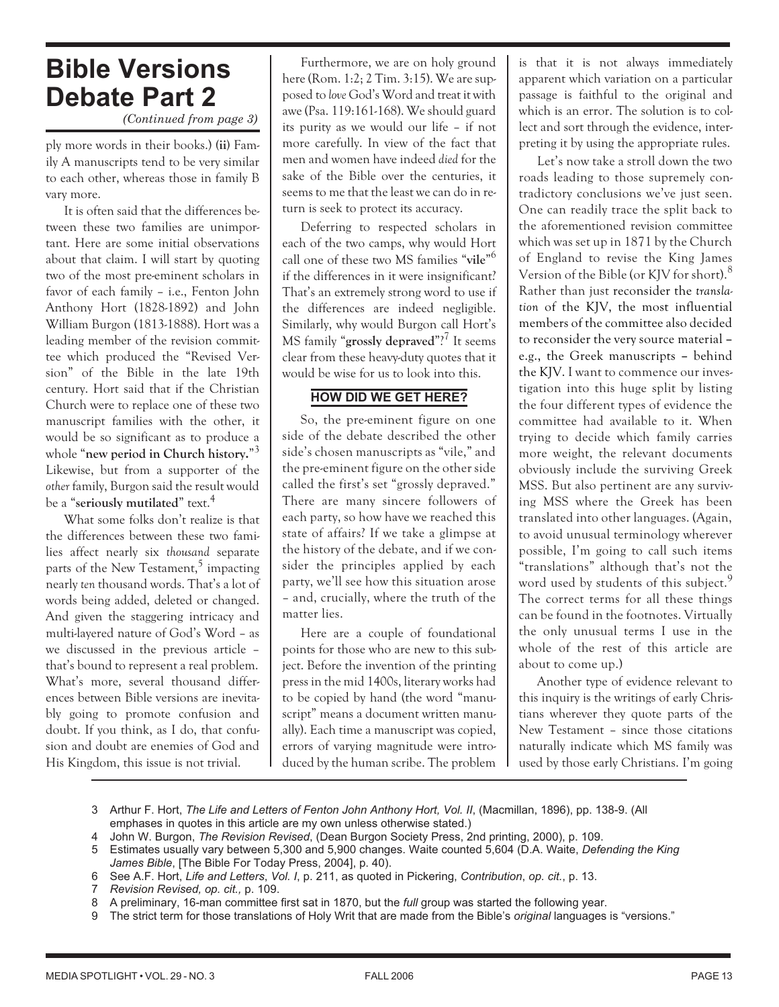# **Bible Versions Debate Part 2**

*(Continued from page 3)*

ply more words in their books.) **(ii)** Family A manuscripts tend to be very similar to each other, whereas those in family B vary more.

It is often said that the differences between these two families are unimportant. Here are some initial observations about that claim. I will start by quoting two of the most pre-eminent scholars in favor of each family – i.e., Fenton John Anthony Hort (1828-1892) and John William Burgon (1813-1888). Hort was a leading member of the revision committee which produced the "Revised Version" of the Bible in the late 19th century. Hort said that if the Christian Church were to replace one of these two manuscript families with the other, it would be so significant as to produce a whole "**new period in Church history.**" 3 Likewise, but from a supporter of the *other* family, Burgon said the result would be a "**seriously mutilated**" text.<sup>4</sup>

What some folks don't realize is that the differences between these two families affect nearly six *thousand* separate parts of the New Testament, $5$  impacting nearly *ten* thousand words. That's a lot of words being added, deleted or changed. And given the staggering intricacy and multi-layered nature of God's Word – as we discussed in the previous article – that's bound to represent a real problem. What's more, several thousand differences between Bible versions are inevitably going to promote confusion and doubt. If you think, as I do, that confusion and doubt are enemies of God and His Kingdom, this issue is not trivial.

Furthermore, we are on holy ground here (Rom. 1:2; 2 Tim. 3:15). We are supposed to *love* God's Word and treat it with awe (Psa. 119:161-168). We should guard its purity as we would our life – if not more carefully. In view of the fact that men and women have indeed *died* for the sake of the Bible over the centuries, it seems to me that the least we can do in return is seek to protect its accuracy.

Deferring to respected scholars in each of the two camps, why would Hort call one of these two MS families "**vile**" 6 if the differences in it were insignificant? That's an extremely strong word to use if the differences are indeed negligible. Similarly, why would Burgon call Hort's MS family "grossly depraved"?<sup>7</sup> It seems clear from these heavy-duty quotes that it would be wise for us to look into this.

# **HOW DID WE GET HERE?**

So, the pre-eminent figure on one side of the debate described the other side's chosen manuscripts as "vile," and the pre-eminent figure on the other side called the first's set "grossly depraved." There are many sincere followers of each party, so how have we reached this state of affairs? If we take a glimpse at the history of the debate, and if we consider the principles applied by each party, we'll see how this situation arose – and, crucially, where the truth of the matter lies.

Here are a couple of foundational points for those who are new to this subject. Before the invention of the printing press in the mid 1400s, literary works had to be copied by hand (the word "manuscript" means a document written manually). Each time a manuscript was copied, errors of varying magnitude were introduced by the human scribe. The problem

is that it is not always immediately apparent which variation on a particular passage is faithful to the original and which is an error. The solution is to collect and sort through the evidence, interpreting it by using the appropriate rules.

Let's now take a stroll down the two roads leading to those supremely contradictory conclusions we've just seen. One can readily trace the split back to the aforementioned revision committee which was set up in 1871 by the Church of England to revise the King James Version of the Bible (or KJV for short). $8$ Rather than just reconsider the *translation* of the KJV, the most influential members of the committee also decided to reconsider the very source material **–** e.g., the Greek manuscripts **–** behind the KJV. I want to commence our investigation into this huge split by listing the four different types of evidence the committee had available to it. When trying to decide which family carries more weight, the relevant documents obviously include the surviving Greek MSS. But also pertinent are any surviving MSS where the Greek has been translated into other languages. (Again, to avoid unusual terminology wherever possible, I'm going to call such items "translations" although that's not the word used by students of this subject.<sup>9</sup> The correct terms for all these things can be found in the footnotes. Virtually the only unusual terms I use in the whole of the rest of this article are about to come up.)

Another type of evidence relevant to this inquiry is the writings of early Christians wherever they quote parts of the New Testament – since those citations naturally indicate which MS family was used by those early Christians. I'm going

3 Arthur F. Hort, *The Life and Letters of Fenton John Anthony Hort, Vol. II*, (Macmillan, 1896), pp. 138-9. (All emphases in quotes in this article are my own unless otherwise stated.)

4 John W. Burgon, *The Revision Revised*, (Dean Burgon Society Press, 2nd printing, 2000), p. 109.

5 Estimates usually vary between 5,300 and 5,900 changes. Waite counted 5,604 (D.A. Waite, *Defending the King James Bible*, [The Bible For Today Press, 2004], p. 40).

- 6 See A.F. Hort, *Life and Letters*, *Vol. I*, p. 211, as quoted in Pickering, *Contribution*, *op. cit.*, p. 13.
- 7 *Revision Revised, op. cit.,* p. 109.
- 8 A preliminary, 16-man committee first sat in 1870, but the *full* group was started the following year.
- 9 The strict term for those translations of Holy Writ that are made from the Bible's *original* languages is "versions."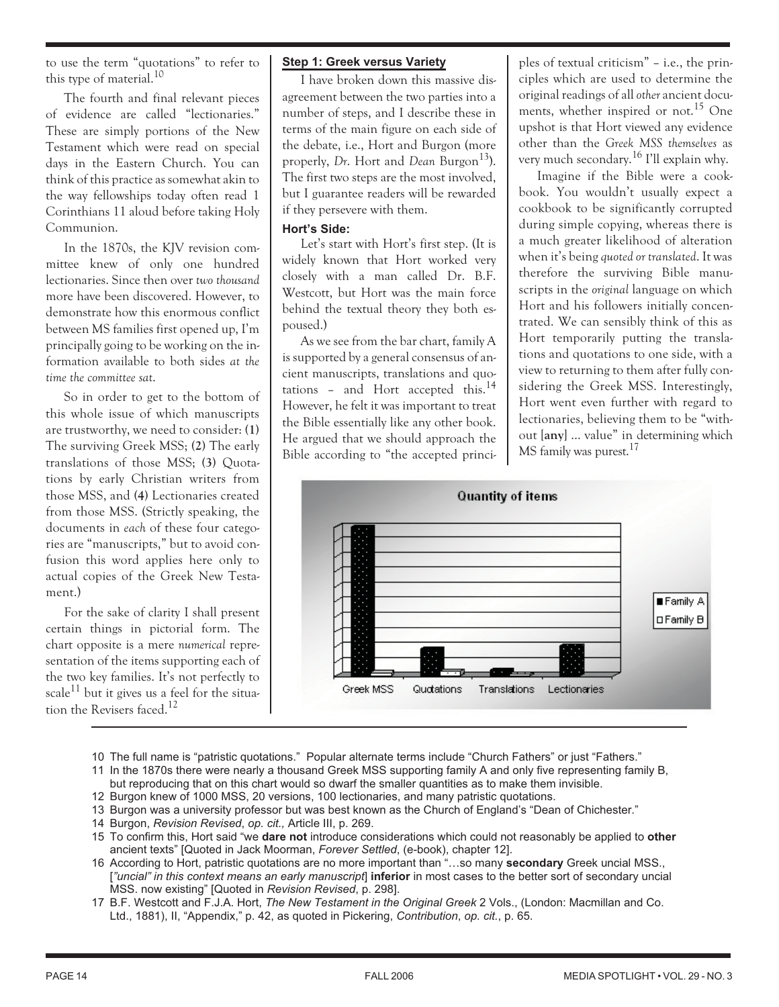to use the term "quotations" to refer to this type of material.<sup>10</sup>

The fourth and final relevant pieces of evidence are called "lectionaries." These are simply portions of the New Testament which were read on special days in the Eastern Church. You can think of this practice as somewhat akin to the way fellowships today often read 1 Corinthians 11 aloud before taking Holy Communion.

In the 1870s, the KJV revision committee knew of only one hundred lectionaries. Since then over *two thousand* more have been discovered. However, to demonstrate how this enormous conflict between MS families first opened up, I'm principally going to be working on the information available to both sides *at the time the committee sat*.

So in order to get to the bottom of this whole issue of which manuscripts are trustworthy, we need to consider: **(1)** The surviving Greek MSS; **(2)** The early translations of those MSS; **(3)** Quotations by early Christian writers from those MSS, and **(4)** Lectionaries created from those MSS. (Strictly speaking, the documents in *each* of these four categories are "manuscripts," but to avoid confusion this word applies here only to actual copies of the Greek New Testament.)

For the sake of clarity I shall present certain things in pictorial form. The chart opposite is a mere *numerical* representation of the items supporting each of the two key families. It's not perfectly to scale<sup>11</sup> but it gives us a feel for the situation the Revisers faced.<sup>12</sup>

# **Step 1: Greek versus Variety**

I have broken down this massive disagreement between the two parties into a number of steps, and I describe these in terms of the main figure on each side of the debate, i.e., Hort and Burgon (more properly, *Dr.* Hort and *Dean* Burgon<sup>13</sup>). The first two steps are the most involved, but I guarantee readers will be rewarded if they persevere with them.

#### **Hort's Side:**

Let's start with Hort's first step. (It is widely known that Hort worked very closely with a man called Dr. B.F. Westcott, but Hort was the main force behind the textual theory they both espoused.)

As we see from the bar chart, family A is supported by a general consensus of ancient manuscripts, translations and quotations – and Hort accepted this.<sup>14</sup> However, he felt it was important to treat the Bible essentially like any other book. He argued that we should approach the Bible according to "the accepted principles of textual criticism" – i.e., the principles which are used to determine the original readings of all*other* ancient documents, whether inspired or not.<sup>15</sup> One upshot is that Hort viewed any evidence other than the *Greek MSS themselves* as very much secondary.<sup>16</sup> I'll explain why.

Imagine if the Bible were a cookbook. You wouldn't usually expect a cookbook to be significantly corrupted during simple copying, whereas there is a much greater likelihood of alteration when it's being *quoted or translated*. It was therefore the surviving Bible manuscripts in the *original* language on which Hort and his followers initially concentrated. We can sensibly think of this as Hort temporarily putting the translations and quotations to one side, with a view to returning to them after fully considering the Greek MSS. Interestingly, Hort went even further with regard to lectionaries, believing them to be "without [**any**] … value" in determining which MS family was purest.<sup>17</sup>



- 10 The full name is "patristic quotations." Popular alternate terms include "Church Fathers" or just "Fathers."
- 11 In the 1870s there were nearly a thousand Greek MSS supporting family A and only five representing family B, but reproducing that on this chart would so dwarf the smaller quantities as to make them invisible.
- 12 Burgon knew of 1000 MSS, 20 versions, 100 lectionaries, and many patristic quotations.
- 13 Burgon was a university professor but was best known as the Church of England's "Dean of Chichester."
- 14 Burgon, *Revision Revised*, *op. cit.,* Article III, p. 269.
- 15 To confirm this, Hort said "we **dare not** introduce considerations which could not reasonably be applied to **other** ancient texts" [Quoted in Jack Moorman, *Forever Settled*, (e-book), chapter 12].
- 16 According to Hort, patristic quotations are no more important than "…so many **secondary** Greek uncial MSS., [*"uncial" in this context means an early manuscript*] **inferior** in most cases to the better sort of secondary uncial MSS. now existing" [Quoted in *Revision Revised*, p. 298].
- 17 B.F. Westcott and F.J.A. Hort, *The New Testament in the Original Greek* 2 Vols., (London: Macmillan and Co. Ltd., 1881), II, "Appendix," p. 42, as quoted in Pickering, *Contribution*, *op. cit.*, p. 65.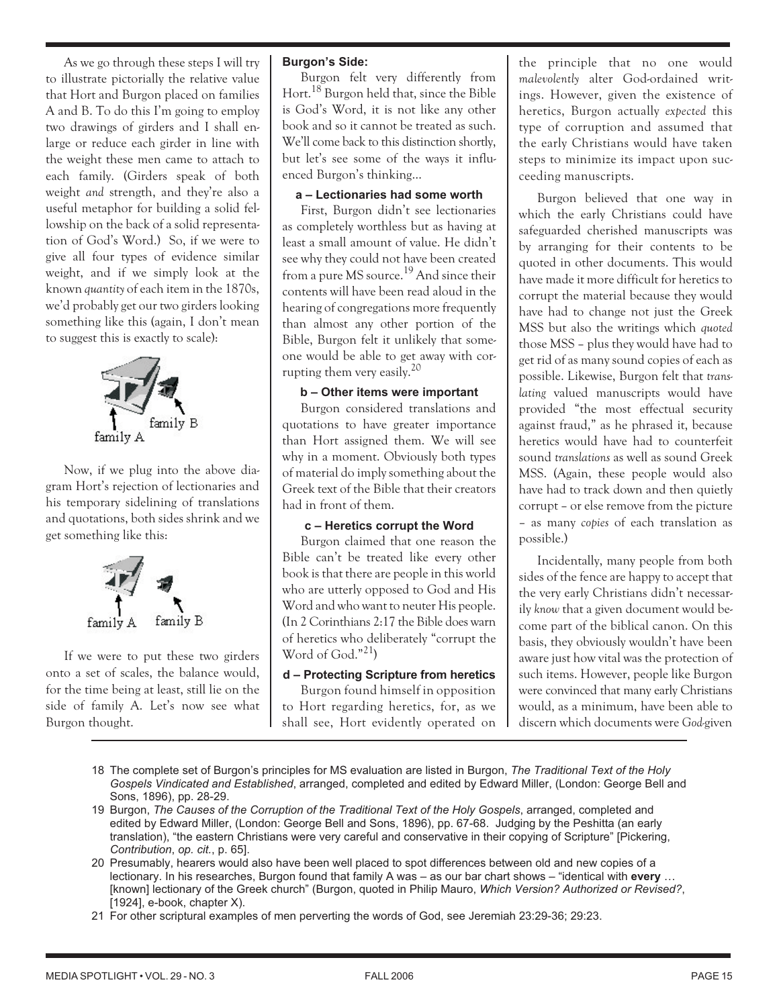As we go through these steps I will try to illustrate pictorially the relative value that Hort and Burgon placed on families A and B. To do this I'm going to employ two drawings of girders and I shall enlarge or reduce each girder in line with the weight these men came to attach to each family. (Girders speak of both weight *and* strength, and they're also a useful metaphor for building a solid fellowship on the back of a solid representation of God's Word.) So, if we were to give all four types of evidence similar weight, and if we simply look at the known *quantity* of each item in the 1870s, we'd probably get our two girders looking something like this (again, I don't mean to suggest this is exactly to scale):



Now, if we plug into the above diagram Hort's rejection of lectionaries and his temporary sidelining of translations and quotations, both sides shrink and we get something like this:



If we were to put these two girders onto a set of scales, the balance would, for the time being at least, still lie on the side of family A. Let's now see what Burgon thought.

# **Burgon's Side:**

Burgon felt very differently from Hort.18 Burgon held that, since the Bible is God's Word, it is not like any other book and so it cannot be treated as such. We'll come back to this distinction shortly, but let's see some of the ways it influenced Burgon's thinking…

#### **a – Lectionaries had some worth**

First, Burgon didn't see lectionaries as completely worthless but as having at least a small amount of value. He didn't see why they could not have been created from a pure MS source.<sup>19</sup> And since their contents will have been read aloud in the hearing of congregations more frequently than almost any other portion of the Bible, Burgon felt it unlikely that someone would be able to get away with corrupting them very easily.<sup>20</sup>

# **b – Other items were important**

Burgon considered translations and quotations to have greater importance than Hort assigned them. We will see why in a moment. Obviously both types of material do imply something about the Greek text of the Bible that their creators had in front of them.

# **c – Heretics corrupt the Word**

Burgon claimed that one reason the Bible can't be treated like every other book is that there are people in this world who are utterly opposed to God and His Word and who want to neuter His people. (In 2 Corinthians 2:17 the Bible does warn of heretics who deliberately "corrupt the Word of  $God.^{n21}$ 

# **d – Protecting Scripture from heretics**

Burgon found himself in opposition to Hort regarding heretics, for, as we shall see, Hort evidently operated on the principle that no one would *malevolently* alter God-ordained writings. However, given the existence of heretics, Burgon actually *expected* this type of corruption and assumed that the early Christians would have taken steps to minimize its impact upon succeeding manuscripts.

Burgon believed that one way in which the early Christians could have safeguarded cherished manuscripts was by arranging for their contents to be quoted in other documents. This would have made it more difficult for heretics to corrupt the material because they would have had to change not just the Greek MSS but also the writings which *quoted* those MSS – plus they would have had to get rid of as many sound copies of each as possible. Likewise, Burgon felt that *translating* valued manuscripts would have provided "the most effectual security against fraud," as he phrased it, because heretics would have had to counterfeit sound *translations* as well as sound Greek MSS. (Again, these people would also have had to track down and then quietly corrupt – or else remove from the picture – as many *copies* of each translation as possible.)

Incidentally, many people from both sides of the fence are happy to accept that the very early Christians didn't necessarily *know* that a given document would become part of the biblical canon. On this basis, they obviously wouldn't have been aware just how vital was the protection of such items. However, people like Burgon were convinced that many early Christians would, as a minimum, have been able to discern which documents were *God-*given

- 18 The complete set of Burgon's principles for MS evaluation are listed in Burgon, *The Traditional Text of the Holy Gospels Vindicated and Established*, arranged, completed and edited by Edward Miller, (London: George Bell and Sons, 1896), pp. 28-29.
- 19 Burgon, *The Causes of the Corruption of the Traditional Text of the Holy Gospels*, arranged, completed and edited by Edward Miller, (London: George Bell and Sons, 1896), pp. 67-68. Judging by the Peshitta (an early translation), "the eastern Christians were very careful and conservative in their copying of Scripture" [Pickering, *Contribution*, *op. cit.*, p. 65].
- 20 Presumably, hearers would also have been well placed to spot differences between old and new copies of a lectionary. In his researches, Burgon found that family A was – as our bar chart shows – "identical with **every** … [known] lectionary of the Greek church" (Burgon, quoted in Philip Mauro, *Which Version? Authorized or Revised?*, [1924], e-book, chapter X).
- 21 For other scriptural examples of men perverting the words of God, see Jeremiah 23:29-36; 29:23.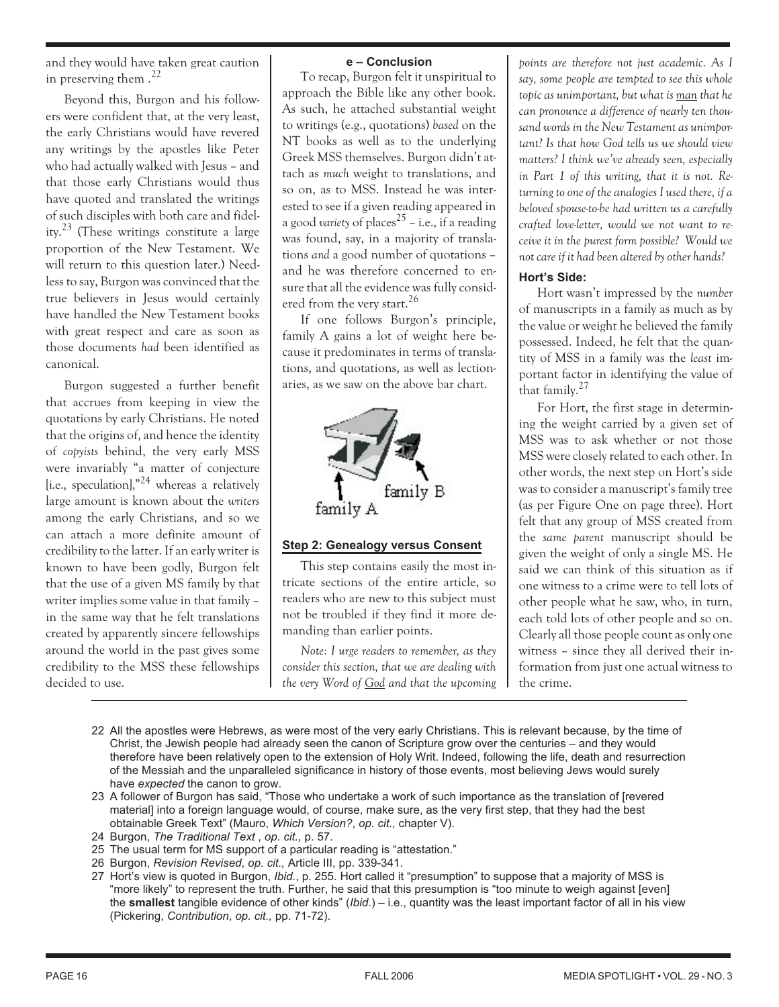and they would have taken great caution in preserving them  $.22$ 

Beyond this, Burgon and his followers were confident that, at the very least, the early Christians would have revered any writings by the apostles like Peter who had actually walked with Jesus – and that those early Christians would thus have quoted and translated the writings of such disciples with both care and fidelity.23 (These writings constitute a large proportion of the New Testament. We will return to this question later.) Needless to say, Burgon was convinced that the true believers in Jesus would certainly have handled the New Testament books with great respect and care as soon as those documents *had* been identified as canonical.

Burgon suggested a further benefit that accrues from keeping in view the quotations by early Christians. He noted that the origins of, and hence the identity of *copyists* behind, the very early MSS were invariably "a matter of conjecture [i.e., speculation], $n^{24}$  whereas a relatively large amount is known about the *writers* among the early Christians, and so we can attach a more definite amount of credibility to the latter. If an early writer is known to have been godly, Burgon felt that the use of a given MS family by that writer implies some value in that family – in the same way that he felt translations created by apparently sincere fellowships around the world in the past gives some credibility to the MSS these fellowships decided to use.

# **e – Conclusion**

To recap, Burgon felt it unspiritual to approach the Bible like any other book. As such, he attached substantial weight to writings (e.g., quotations) *based* on the NT books as well as to the underlying Greek MSS themselves. Burgon didn't attach as *much* weight to translations, and so on, as to MSS. Instead he was interested to see if a given reading appeared in a good *variety* of places<sup>25</sup> – i.e., if a reading was found, say, in a majority of translations *and* a good number of quotations – and he was therefore concerned to ensure that all the evidence was fully considered from the very start.<sup>26</sup>

If one follows Burgon's principle, family A gains a lot of weight here because it predominates in terms of translations, and quotations, as well as lectionaries, as we saw on the above bar chart.



# **Step 2: Genealogy versus Consent**

This step contains easily the most intricate sections of the entire article, so readers who are new to this subject must not be troubled if they find it more demanding than earlier points.

*Note: I urge readers to remember, as they consider this section, that we are dealing with the very Word of God and that the upcoming* *points are therefore not just academic. As I say, some people are tempted to see this whole topic as unimportant, but what is man that he can pronounce a difference of nearly ten thousand words in the New Testament as unimportant? Is that how God tells us we should view matters? I think we've already seen, especially in Part 1 of this writing, that it is not. Returning to one of the analogies I used there, if a beloved spouse-to-be had written us a carefully crafted love-letter, would we not want to receive it in the purest form possible? Would we not care if it had been altered by other hands?*

# **Hort's Side:**

Hort wasn't impressed by the *number* of manuscripts in a family as much as by the value or weight he believed the family possessed. Indeed, he felt that the quantity of MSS in a family was the *least* important factor in identifying the value of that family.<sup>27</sup>

For Hort, the first stage in determining the weight carried by a given set of MSS was to ask whether or not those MSS were closely related to each other. In other words, the next step on Hort's side was to consider a manuscript's family tree (as per Figure One on page three). Hort felt that any group of MSS created from the *same parent* manuscript should be given the weight of only a single MS. He said we can think of this situation as if one witness to a crime were to tell lots of other people what he saw, who, in turn, each told lots of other people and so on. Clearly all those people count as only one witness – since they all derived their information from just one actual witness to the crime.

- 22 All the apostles were Hebrews, as were most of the very early Christians. This is relevant because, by the time of Christ, the Jewish people had already seen the canon of Scripture grow over the centuries – and they would therefore have been relatively open to the extension of Holy Writ. Indeed, following the life, death and resurrection of the Messiah and the unparalleled significance in history of those events, most believing Jews would surely have *expected* the canon to grow.
- 23 A follower of Burgon has said, "Those who undertake a work of such importance as the translation of [revered material] into a foreign language would, of course, make sure, as the very first step, that they had the best obtainable Greek Text" (Mauro, *Which Version?*, *op. cit.,* chapter V).
- 24 Burgon, *The Traditional Text* , *op. cit.,* p. 57.
- 25 The usual term for MS support of a particular reading is "attestation."
- 26 Burgon, *Revision Revised*, *op. cit.,* Article III, pp. 339-341.
- 27 Hort's view is quoted in Burgon, *Ibid.*, p. 255. Hort called it "presumption" to suppose that a majority of MSS is "more likely" to represent the truth. Further, he said that this presumption is "too minute to weigh against [even] the **smallest** tangible evidence of other kinds" (*Ibid*.) – i.e., quantity was the least important factor of all in his view (Pickering, *Contribution*, *op. cit.,* pp. 71-72).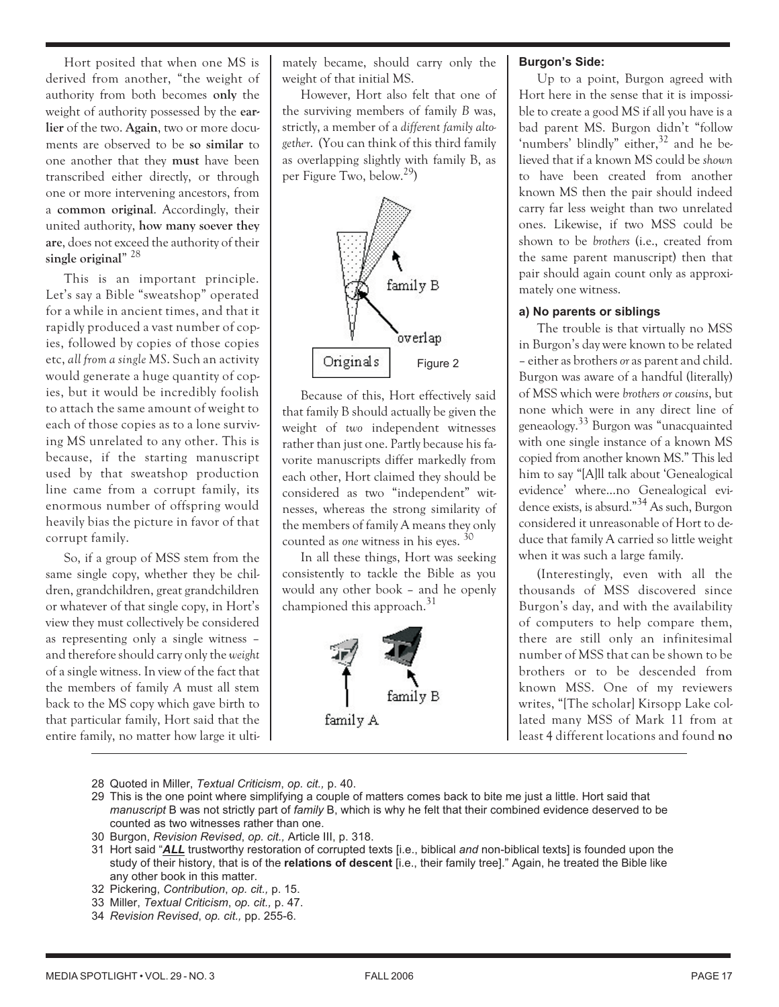Hort posited that when one MS is derived from another, "the weight of authority from both becomes **only** the weight of authority possessed by the **earlier** of the two. **Again**, two or more documents are observed to be **so similar** to one another that they **must** have been transcribed either directly, or through one or more intervening ancestors, from a **common original**. Accordingly, their united authority, **how many soever they are**, does not exceed the authority of their **single original**" <sup>28</sup>

This is an important principle. Let's say a Bible "sweatshop" operated for a while in ancient times, and that it rapidly produced a vast number of copies, followed by copies of those copies etc, *all from a single MS*. Such an activity would generate a huge quantity of copies, but it would be incredibly foolish to attach the same amount of weight to each of those copies as to a lone surviving MS unrelated to any other. This is because, if the starting manuscript used by that sweatshop production line came from a corrupt family, its enormous number of offspring would heavily bias the picture in favor of that corrupt family.

So, if a group of MSS stem from the same single copy, whether they be children, grandchildren, great grandchildren or whatever of that single copy, in Hort's view they must collectively be considered as representing only a single witness – and therefore should carry only the *weight* of a single witness. In view of the fact that the members of family *A* must all stem back to the MS copy which gave birth to that particular family, Hort said that the entire family, no matter how large it ulti-

mately became, should carry only the weight of that initial MS.

However, Hort also felt that one of the surviving members of family *B* was, strictly, a member of a *different family altogether*. (You can think of this third family as overlapping slightly with family B, as per Figure Two, below.29)



Because of this, Hort effectively said that family B should actually be given the weight of *two* independent witnesses rather than just one. Partly because his favorite manuscripts differ markedly from each other, Hort claimed they should be considered as two "independent" witnesses, whereas the strong similarity of the members of family A means they only counted as *one* witness in his eyes. <sup>30</sup>

In all these things, Hort was seeking consistently to tackle the Bible as you would any other book – and he openly championed this approach. $31$ 



# **Burgon's Side:**

Up to a point, Burgon agreed with Hort here in the sense that it is impossible to create a good MS if all you have is a bad parent MS. Burgon didn't "follow 'numbers' blindly" either, $32$  and he believed that if a known MS could be *shown* to have been created from another known MS then the pair should indeed carry far less weight than two unrelated ones. Likewise, if two MSS could be shown to be *brothers* (i.e., created from the same parent manuscript) then that pair should again count only as approximately one witness.

## **a) No parents or siblings**

The trouble is that virtually no MSS in Burgon's day were known to be related – either as brothers*or* as parent and child. Burgon was aware of a handful (literally) of MSS which were *brothers or cousins*, but none which were in any direct line of geneaology.33 Burgon was "unacquainted with one single instance of a known MS copied from another known MS." This led him to say "[A]ll talk about 'Genealogical evidence' where…no Genealogical evidence exists, is absurd."34 As such, Burgon considered it unreasonable of Hort to deduce that family A carried so little weight when it was such a large family.

(Interestingly, even with all the thousands of MSS discovered since Burgon's day, and with the availability of computers to help compare them, there are still only an infinitesimal number of MSS that can be shown to be brothers or to be descended from known MSS. One of my reviewers writes, "[The scholar] Kirsopp Lake collated many MSS of Mark 11 from at least 4 different locations and found **no**

- 28 Quoted in Miller, *Textual Criticism*, *op. cit.,* p. 40.
- 29 This is the one point where simplifying a couple of matters comes back to bite me just a little. Hort said that *manuscript* B was not strictly part of *family* B, which is why he felt that their combined evidence deserved to be counted as two witnesses rather than one.
- 30 Burgon, *Revision Revised*, *op. cit.,* Article III, p. 318.
- 31 Hort said "*ALL* trustworthy restoration of corrupted texts [i.e., biblical *and* non-biblical texts] is founded upon the study of their history, that is of the **relations of descent** [i.e., their family tree]." Again, he treated the Bible like any other book in this matter.
- 32 Pickering, *Contribution*, *op. cit.,* p. 15.
- 33 Miller, *Textual Criticism*, *op. cit.,* p. 47.
- 34 *Revision Revised*, *op. cit.,* pp. 255-6.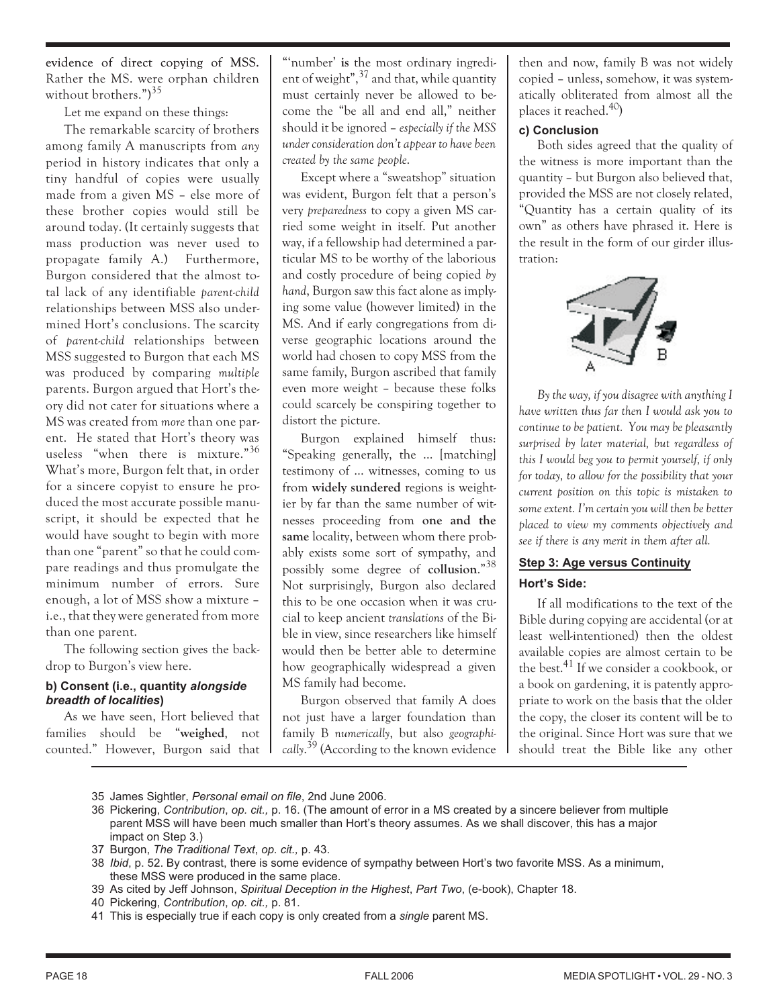evidence of direct copying of MSS. Rather the MS. were orphan children without brothers.")<sup>35</sup>

Let me expand on these things:

The remarkable scarcity of brothers among family A manuscripts from *any* period in history indicates that only a tiny handful of copies were usually made from a given MS – else more of these brother copies would still be around today. (It certainly suggests that mass production was never used to propagate family A.) Furthermore, Burgon considered that the almost total lack of any identifiable *parent-child* relationships between MSS also undermined Hort's conclusions. The scarcity of *parent-child* relationships between MSS suggested to Burgon that each MS was produced by comparing *multiple* parents. Burgon argued that Hort's theory did not cater for situations where a MS was created from *more* than one parent. He stated that Hort's theory was useless "when there is mixture."<sup>36</sup> What's more, Burgon felt that, in order for a sincere copyist to ensure he produced the most accurate possible manuscript, it should be expected that he would have sought to begin with more than one "parent" so that he could compare readings and thus promulgate the minimum number of errors. Sure enough, a lot of MSS show a mixture – i.e., that they were generated from more than one parent.

The following section gives the backdrop to Burgon's view here.

#### **b) Consent (i.e., quantity** *alongside breadth of localities***)**

As we have seen, Hort believed that families should be "**weighed**, not counted." However, Burgon said that

"'number' **is** the most ordinary ingredient of weight", $37$  and that, while quantity must certainly never be allowed to become the "be all and end all," neither should it be ignored – *especially if the MSS under consideration don't appear to have been created by the same people*.

Except where a "sweatshop" situation was evident, Burgon felt that a person's very *preparedness* to copy a given MS carried some weight in itself. Put another way, if a fellowship had determined a particular MS to be worthy of the laborious and costly procedure of being copied *by hand*, Burgon saw this fact alone as implying some value (however limited) in the MS. And if early congregations from diverse geographic locations around the world had chosen to copy MSS from the same family, Burgon ascribed that family even more weight – because these folks could scarcely be conspiring together to distort the picture.

Burgon explained himself thus: "Speaking generally, the … [matching] testimony of … witnesses, coming to us from **widely sundered** regions is weightier by far than the same number of witnesses proceeding from **one and the same** locality, between whom there probably exists some sort of sympathy, and possibly some degree of **collusion**."<sup>38</sup> Not surprisingly, Burgon also declared this to be one occasion when it was crucial to keep ancient *translations* of the Bible in view, since researchers like himself would then be better able to determine how geographically widespread a given MS family had become.

Burgon observed that family A does not just have a larger foundation than family B *numerically*, but also *geographically*. <sup>39</sup> (According to the known evidence

then and now, family B was not widely copied – unless, somehow, it was systematically obliterated from almost all the places it reached.40)

# **c) Conclusion**

Both sides agreed that the quality of the witness is more important than the quantity – but Burgon also believed that, provided the MSS are not closely related, "Quantity has a certain quality of its own" as others have phrased it. Here is the result in the form of our girder illustration:



*By the way, if you disagree with anything I have written thus far then I would ask you to continue to be patient. You may be pleasantly surprised by later material, but regardless of this I would beg you to permit yourself, if only for today, to allow for the possibility that your current position on this topic is mistaken to some extent. I'm certain you will then be better placed to view my comments objectively and see if there is any merit in them after all.*

# **Step 3: Age versus Continuity Hort's Side:**

If all modifications to the text of the Bible during copying are accidental (or at least well-intentioned) then the oldest available copies are almost certain to be the best.<sup>41</sup> If we consider a cookbook, or a book on gardening, it is patently appropriate to work on the basis that the older the copy, the closer its content will be to the original. Since Hort was sure that we should treat the Bible like any other

- 35 James Sightler, *Personal email on file*, 2nd June 2006.
- 36 Pickering, *Contribution*, *op. cit.,* p. 16. (The amount of error in a MS created by a sincere believer from multiple parent MSS will have been much smaller than Hort's theory assumes. As we shall discover, this has a major impact on Step 3.)
- 37 Burgon, *The Traditional Text*, *op. cit.,* p. 43.
- 38 *Ibid*, p. 52. By contrast, there is some evidence of sympathy between Hort's two favorite MSS. As a minimum, these MSS were produced in the same place.
- 39 As cited by Jeff Johnson, *Spiritual Deception in the Highest*, *Part Two*, (e-book), Chapter 18.
- 40 Pickering, *Contribution*, *op. cit.,* p. 81.
- 41 This is especially true if each copy is only created from a *single* parent MS.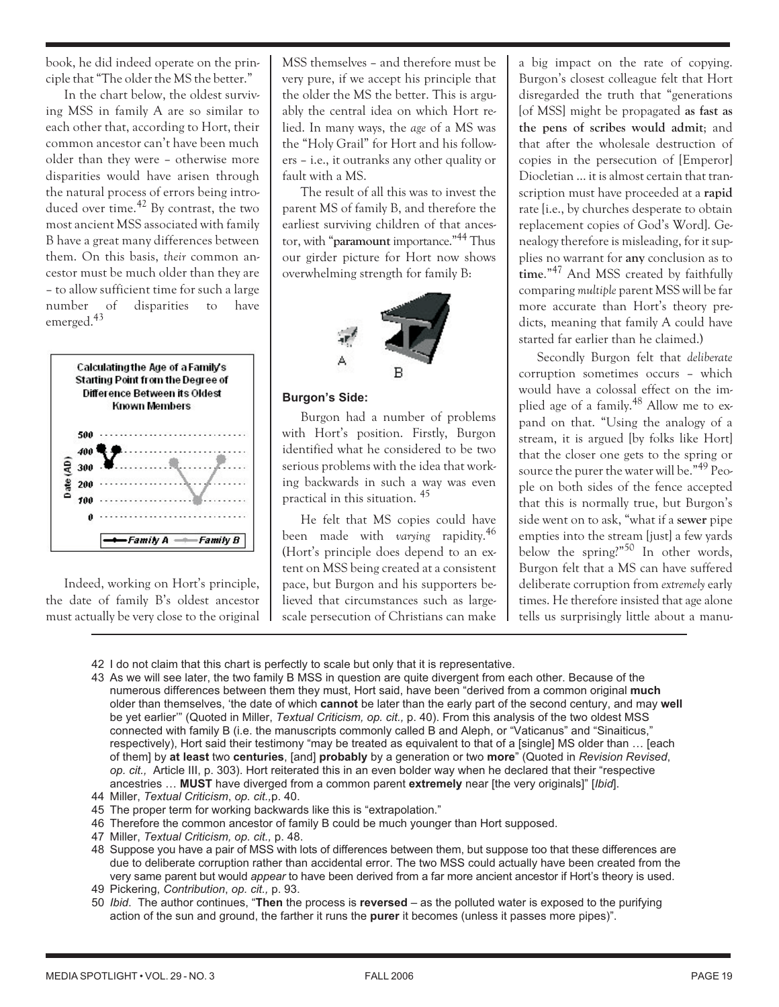book, he did indeed operate on the principle that "The older the MS the better."

In the chart below, the oldest surviving MSS in family A are so similar to each other that, according to Hort, their common ancestor can't have been much older than they were – otherwise more disparities would have arisen through the natural process of errors being introduced over time.<sup>42</sup> By contrast, the two most ancient MSS associated with family B have a great many differences between them. On this basis, *their* common ancestor must be much older than they are – to allow sufficient time for such a large number of disparities to have emerged.<sup>43</sup>



Indeed, working on Hort's principle, the date of family B's oldest ancestor must actually be very close to the original

MSS themselves – and therefore must be very pure, if we accept his principle that the older the MS the better. This is arguably the central idea on which Hort relied. In many ways, the *age* of a MS was the "Holy Grail" for Hort and his followers – i.e., it outranks any other quality or fault with a MS.

The result of all this was to invest the parent MS of family B, and therefore the earliest surviving children of that ancestor, with "**paramount** importance."44 Thus our girder picture for Hort now shows overwhelming strength for family B:



#### **Burgon's Side:**

Burgon had a number of problems with Hort's position. Firstly, Burgon identified what he considered to be two serious problems with the idea that working backwards in such a way was even practical in this situation. <sup>45</sup>

He felt that MS copies could have been made with *varying* rapidity.<sup>46</sup> (Hort's principle does depend to an extent on MSS being created at a consistent pace, but Burgon and his supporters believed that circumstances such as largescale persecution of Christians can make a big impact on the rate of copying. Burgon's closest colleague felt that Hort disregarded the truth that "generations [of MSS] might be propagated **as fast as the pens of scribes would admit**; and that after the wholesale destruction of copies in the persecution of [Emperor] Diocletian … it is almost certain that transcription must have proceeded at a **rapid** rate [i.e., by churches desperate to obtain replacement copies of God's Word]. Genealogy therefore is misleading, for it supplies no warrant for **any** conclusion as to **time**."<sup>47</sup> And MSS created by faithfully comparing *multiple* parent MSS will be far more accurate than Hort's theory predicts, meaning that family A could have started far earlier than he claimed.)

Secondly Burgon felt that *deliberate* corruption sometimes occurs – which would have a colossal effect on the implied age of a family.<sup>48</sup> Allow me to expand on that. "Using the analogy of a stream, it is argued [by folks like Hort] that the closer one gets to the spring or source the purer the water will be."<sup>49</sup> People on both sides of the fence accepted that this is normally true, but Burgon's side went on to ask, "what if a **sewer** pipe empties into the stream [just] a few yards below the spring?"<sup>50</sup> In other words, Burgon felt that a MS can have suffered deliberate corruption from *extremely* early times. He therefore insisted that age alone tells us surprisingly little about a manu-

- 42 I do not claim that this chart is perfectly to scale but only that it is representative.
- 43 As we will see later, the two family B MSS in question are quite divergent from each other. Because of the numerous differences between them they must, Hort said, have been "derived from a common original **much** older than themselves, 'the date of which **cannot** be later than the early part of the second century, and may **well** be yet earlier'" (Quoted in Miller, *Textual Criticism, op. cit.,* p. 40). From this analysis of the two oldest MSS connected with family B (i.e. the manuscripts commonly called B and Aleph, or "Vaticanus" and "Sinaiticus," respectively), Hort said their testimony "may be treated as equivalent to that of a [single] MS older than … [each of them] by **at least** two **centuries**, [and] **probably** by a generation or two **more**" (Quoted in *Revision Revised*, *op. cit.,* Article III, p. 303). Hort reiterated this in an even bolder way when he declared that their "respective ancestries … **MUST** have diverged from a common parent **extremely** near [the very originals]" [*Ibid*].
- 44 Miller, *Textual Criticism*, *op. cit.,*p. 40.
- 45 The proper term for working backwards like this is "extrapolation."
- 46 Therefore the common ancestor of family B could be much younger than Hort supposed.
- 47 Miller, *Textual Criticism, op. cit.,* p. 48.
- 48 Suppose you have a pair of MSS with lots of differences between them, but suppose too that these differences are due to deliberate corruption rather than accidental error. The two MSS could actually have been created from the very same parent but would *appear* to have been derived from a far more ancient ancestor if Hort's theory is used.
- 49 Pickering, *Contribution*, *op. cit.,* p. 93.
- 50 *Ibid*. The author continues, "**Then** the process is **reversed** as the polluted water is exposed to the purifying action of the sun and ground, the farther it runs the **purer** it becomes (unless it passes more pipes)".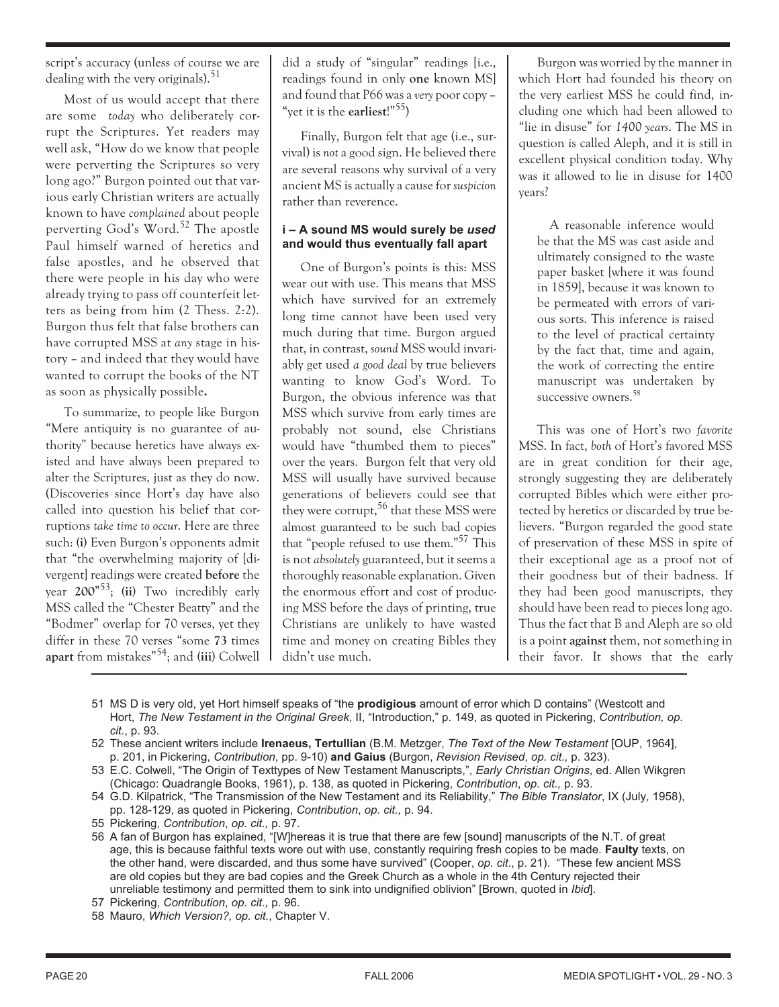script's accuracy (unless of course we are dealing with the very originals).<sup>51</sup>

Most of us would accept that there are some *today* who deliberately corrupt the Scriptures. Yet readers may well ask, "How do we know that people were perverting the Scriptures so very long ago?" Burgon pointed out that various early Christian writers are actually known to have *complained* about people perverting God's Word.<sup>52</sup> The apostle Paul himself warned of heretics and false apostles, and he observed that there were people in his day who were already trying to pass off counterfeit letters as being from him (2 Thess. 2:2). Burgon thus felt that false brothers can have corrupted MSS at *any* stage in history – and indeed that they would have wanted to corrupt the books of the NT as soon as physically possible**.**

To summarize, to people like Burgon "Mere antiquity is no guarantee of authority" because heretics have always existed and have always been prepared to alter the Scriptures, just as they do now. (Discoveries since Hort's day have also called into question his belief that corruptions *take time to occur*. Here are three such: **(i)** Even Burgon's opponents admit that "the overwhelming majority of [divergent] readings were created **before** the year **200**" 53 ; **(ii)** Two incredibly early MSS called the "Chester Beatty" and the "Bodmer" overlap for 70 verses, yet they differ in these 70 verses "some **73** times **apart** from mistakes"54; and **(iii)** Colwell

did a study of "singular" readings [i.e., readings found in only **one** known MS] and found that P66 was a *very* poor copy – "yet it is the **earliest**!"55)

Finally, Burgon felt that age (i.e., survival) is *not* a good sign. He believed there are several reasons why survival of a very ancient MS is actually a cause for *suspicion* rather than reverence.

## **i – A sound MS would surely be** *used* **and would thus eventually fall apart**

One of Burgon's points is this: MSS wear out with use. This means that MSS which have survived for an extremely long time cannot have been used very much during that time. Burgon argued that, in contrast, *sound* MSS would invariably get used *a good deal* by true believers wanting to know God's Word. To Burgon, the obvious inference was that MSS which survive from early times are probably not sound, else Christians would have "thumbed them to pieces" over the years. Burgon felt that very old MSS will usually have survived because generations of believers could see that they were corrupt,  $56$  that these MSS were almost guaranteed to be such bad copies that "people refused to use them."<sup>57</sup> This is not *absolutely* guaranteed, but it seems a thoroughly reasonable explanation. Given the enormous effort and cost of producing MSS before the days of printing, true Christians are unlikely to have wasted time and money on creating Bibles they didn't use much.

Burgon was worried by the manner in which Hort had founded his theory on the very earliest MSS he could find, including one which had been allowed to "lie in disuse" for *1400 years*. The MS in question is called Aleph, and it is still in excellent physical condition today. Why was it allowed to lie in disuse for 1400 years?

A reasonable inference would be that the MS was cast aside and ultimately consigned to the waste paper basket [where it was found in 1859], because it was known to be permeated with errors of various sorts. This inference is raised to the level of practical certainty by the fact that, time and again, the work of correcting the entire manuscript was undertaken by successive owners.<sup>58</sup>

This was one of Hort's two *favorite* MSS. In fact, *both* of Hort's favored MSS are in great condition for their age, strongly suggesting they are deliberately corrupted Bibles which were either protected by heretics or discarded by true believers. "Burgon regarded the good state of preservation of these MSS in spite of their exceptional age as a proof not of their goodness but of their badness. If they had been good manuscripts, they should have been read to pieces long ago. Thus the fact that B and Aleph are so old is a point **against** them, not something in their favor. It shows that the early

- 51 MS D is very old, yet Hort himself speaks of "the **prodigious** amount of error which D contains" (Westcott and Hort, *The New Testament in the Original Greek*, II, "Introduction," p. 149, as quoted in Pickering, *Contribution, op. cit.*, p. 93.
- 52 These ancient writers include **Irenaeus, Tertullian** (B.M. Metzger, *The Text of the New Testament* [OUP, 1964], p. 201, in Pickering, *Contribution*, pp. 9-10) **and Gaius** (Burgon, *Revision Revised*, *op. cit.,* p. 323).
- 53 E.C. Colwell, "The Origin of Texttypes of New Testament Manuscripts,", *Early Christian Origins*, ed. Allen Wikgren (Chicago: Quadrangle Books, 1961), p. 138, as quoted in Pickering, *Contribution*, *op. cit.,* p. 93.
- 54 G.D. Kilpatrick, "The Transmission of the New Testament and its Reliability," *The Bible Translator*, IX (July, 1958), pp. 128-129, as quoted in Pickering, *Contribution*, *op. cit.,* p. 94.
- 55 Pickering, *Contribution*, *op. cit.,* p. 97.
- 56 A fan of Burgon has explained, "[W]hereas it is true that there are few [sound] manuscripts of the N.T. of great age, this is because faithful texts wore out with use, constantly requiring fresh copies to be made. **Faulty** texts, on the other hand, were discarded, and thus some have survived" (Cooper, *op. cit*., p. 21). "These few ancient MSS are old copies but they are bad copies and the Greek Church as a whole in the 4th Century rejected their unreliable testimony and permitted them to sink into undignified oblivion" [Brown, quoted in *Ibid*].
- 57 Pickering, *Contribution*, *op. cit.,* p. 96.
- 58 Mauro, *Which Version?, op. cit.*, Chapter V.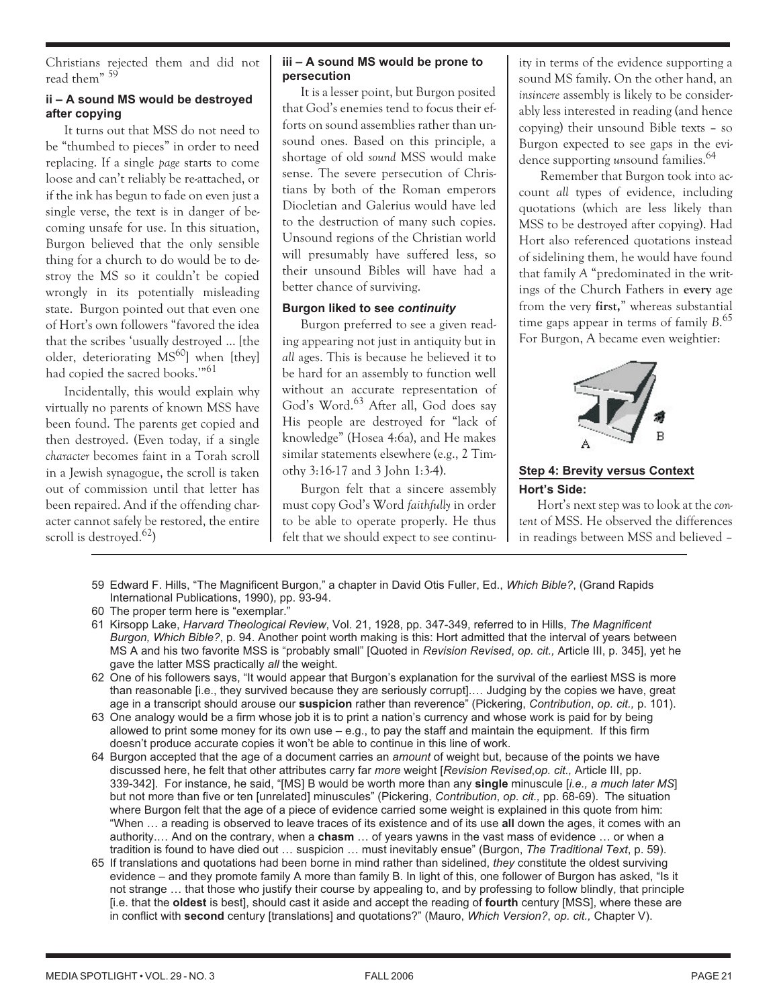Christians rejected them and did not read them" <sup>59</sup>

# **ii – A sound MS would be destroyed after copying**

It turns out that MSS do not need to be "thumbed to pieces" in order to need replacing. If a single *page* starts to come loose and can't reliably be re-attached, or if the ink has begun to fade on even just a single verse, the text is in danger of becoming unsafe for use. In this situation, Burgon believed that the only sensible thing for a church to do would be to destroy the MS so it couldn't be copied wrongly in its potentially misleading state. Burgon pointed out that even one of Hort's own followers "favored the idea that the scribes 'usually destroyed … [the older, deteriorating MS<sup>60</sup>] when [they] had copied the sacred books.'"<sup>61</sup>

Incidentally, this would explain why virtually no parents of known MSS have been found. The parents get copied and then destroyed. (Even today, if a single *character* becomes faint in a Torah scroll in a Jewish synagogue, the scroll is taken out of commission until that letter has been repaired. And if the offending character cannot safely be restored, the entire scroll is destroyed.<sup>62</sup>)

#### **iii – A sound MS would be prone to persecution**

It is a lesser point, but Burgon posited that God's enemies tend to focus their efforts on sound assemblies rather than unsound ones. Based on this principle, a shortage of old *sound* MSS would make sense. The severe persecution of Christians by both of the Roman emperors Diocletian and Galerius would have led to the destruction of many such copies. Unsound regions of the Christian world will presumably have suffered less, so their unsound Bibles will have had a better chance of surviving.

# **Burgon liked to see** *continuity*

Burgon preferred to see a given reading appearing not just in antiquity but in *all* ages. This is because he believed it to be hard for an assembly to function well without an accurate representation of God's Word.<sup>63</sup> After all, God does say His people are destroyed for "lack of knowledge" (Hosea 4:6a), and He makes similar statements elsewhere (e.g., 2 Timothy 3:16-17 and 3 John 1:3-4).

Burgon felt that a sincere assembly must copy God's Word *faithfully* in order to be able to operate properly. He thus felt that we should expect to see continuity in terms of the evidence supporting a sound MS family. On the other hand, an *insincere* assembly is likely to be considerably less interested in reading (and hence copying) their unsound Bible texts – so Burgon expected to see gaps in the evidence supporting *un*sound families.<sup>64</sup>

Remember that Burgon took into account *all* types of evidence, including quotations (which are less likely than MSS to be destroyed after copying). Had Hort also referenced quotations instead of sidelining them, he would have found that family *A* "predominated in the writings of the Church Fathers in **every** age from the very **first,**" whereas substantial time gaps appear in terms of family *B*. 65 For Burgon, A became even weightier:



# **Step 4: Brevity versus Context Hort's Side:**

Hort's next step was to look at the *content* of MSS. He observed the differences in readings between MSS and believed –

- 59 Edward F. Hills, "The Magnificent Burgon," a chapter in David Otis Fuller, Ed., *Which Bible?*, (Grand Rapids International Publications, 1990), pp. 93-94.
- 60 The proper term here is "exemplar."
- 61 Kirsopp Lake, *Harvard Theological Review*, Vol. 21, 1928, pp. 347-349, referred to in Hills, *The Magnificent Burgon, Which Bible?*, p. 94. Another point worth making is this: Hort admitted that the interval of years between MS A and his two favorite MSS is "probably small" [Quoted in *Revision Revised*, *op. cit.,* Article III, p. 345], yet he gave the latter MSS practically *all* the weight.
- 62 One of his followers says, "It would appear that Burgon's explanation for the survival of the earliest MSS is more than reasonable [i.e., they survived because they are seriously corrupt].… Judging by the copies we have, great age in a transcript should arouse our **suspicion** rather than reverence" (Pickering, *Contribution*, *op. cit.,* p. 101).
- 63 One analogy would be a firm whose job it is to print a nation's currency and whose work is paid for by being allowed to print some money for its own use – e.g., to pay the staff and maintain the equipment. If this firm doesn't produce accurate copies it won't be able to continue in this line of work.
- 64 Burgon accepted that the age of a document carries an *amount* of weight but, because of the points we have discussed here, he felt that other attributes carry far *more* weight [*Revision Revised*,*op. cit.,* Article III, pp. 339-342]. For instance, he said, "[MS] B would be worth more than any **single** minuscule [*i.e., a much later MS*] but not more than five or ten [unrelated] minuscules" (Pickering, *Contribution*, *op. cit.,* pp. 68-69). The situation where Burgon felt that the age of a piece of evidence carried some weight is explained in this quote from him: "When … a reading is observed to leave traces of its existence and of its use **all** down the ages, it comes with an authority.… And on the contrary, when a **chasm** … of years yawns in the vast mass of evidence … or when a tradition is found to have died out … suspicion … must inevitably ensue" (Burgon, *The Traditional Text*, p. 59).
- 65 If translations and quotations had been borne in mind rather than sidelined, *they* constitute the oldest surviving evidence – and they promote family A more than family B. In light of this, one follower of Burgon has asked, "Is it not strange … that those who justify their course by appealing to, and by professing to follow blindly, that principle [i.e. that the **oldest** is best], should cast it aside and accept the reading of **fourth** century [MSS], where these are in conflict with **second** century [translations] and quotations?" (Mauro, *Which Version?*, *op. cit.,* Chapter V).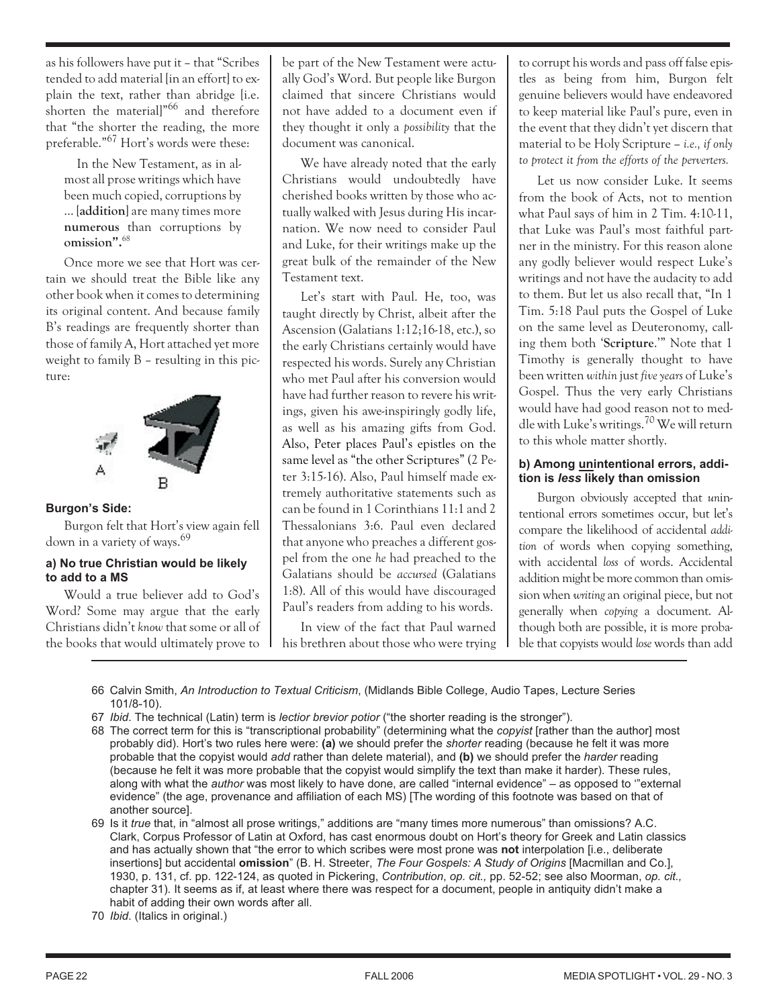as his followers have put it – that "Scribes tended to add material [in an effort] to explain the text, rather than abridge [i.e. shorten the material]"<sup>66</sup> and therefore that "the shorter the reading, the more preferable."<sup>67</sup> Hort's words were these:

In the New Testament, as in almost all prose writings which have been much copied, corruptions by … [**addition**] are many times more **numerous** than corruptions by **omission".**<sup>68</sup>

Once more we see that Hort was certain we should treat the Bible like any other book when it comes to determining its original content. And because family B's readings are frequently shorter than those of family A, Hort attached yet more weight to family B – resulting in this picture:



## **Burgon's Side:**

Burgon felt that Hort's view again fell down in a variety of ways.<sup>69</sup>

## **a) No true Christian would be likely to add to a MS**

Would a true believer add to God's Word? Some may argue that the early Christians didn't *know* that some or all of the books that would ultimately prove to

be part of the New Testament were actually God's Word. But people like Burgon claimed that sincere Christians would not have added to a document even if they thought it only a *possibility* that the document was canonical.

We have already noted that the early Christians would undoubtedly have cherished books written by those who actually walked with Jesus during His incarnation. We now need to consider Paul and Luke, for their writings make up the great bulk of the remainder of the New Testament text.

Let's start with Paul. He, too, was taught directly by Christ, albeit after the Ascension (Galatians 1:12;16-18, etc.), so the early Christians certainly would have respected his words. Surely any Christian who met Paul after his conversion would have had further reason to revere his writings, given his awe-inspiringly godly life, as well as his amazing gifts from God. Also, Peter places Paul's epistles on the same level as "the other Scriptures" (2 Peter 3:15-16). Also, Paul himself made extremely authoritative statements such as can be found in 1 Corinthians 11:1 and 2 Thessalonians 3:6. Paul even declared that anyone who preaches a different gospel from the one *he* had preached to the Galatians should be *accursed* (Galatians 1:8). All of this would have discouraged Paul's readers from adding to his words.

In view of the fact that Paul warned his brethren about those who were trying to corrupt his words and pass off false epistles as being from him, Burgon felt genuine believers would have endeavored to keep material like Paul's pure, even in the event that they didn't yet discern that material to be Holy Scripture *– i.e., if only to protect it from the efforts of the perverters.*

Let us now consider Luke. It seems from the book of Acts, not to mention what Paul says of him in 2 Tim. 4:10-11, that Luke was Paul's most faithful partner in the ministry. For this reason alone any godly believer would respect Luke's writings and not have the audacity to add to them. But let us also recall that, "In 1 Tim. 5:18 Paul puts the Gospel of Luke on the same level as Deuteronomy, calling them both '**Scripture**.'" Note that 1 Timothy is generally thought to have been written *within* just *five years* of Luke's Gospel. Thus the very early Christians would have had good reason not to meddle with Luke's writings.<sup>70</sup> We will return to this whole matter shortly.

#### **b) Among unintentional errors, addition is** *less* **likely than omission**

Burgon obviously accepted that *un*intentional errors sometimes occur, but let's compare the likelihood of accidental *addition* of words when copying something, with accidental *loss* of words. Accidental addition might be more common than omission when *writing* an original piece, but not generally when *copying* a document. Although both are possible, it is more probable that copyists would *lose* words than add

- 66 Calvin Smith, *An Introduction to Textual Criticism*, (Midlands Bible College, Audio Tapes, Lecture Series 101/8-10).
- 67 *Ibid*. The technical (Latin) term is *lectior brevior potior* ("the shorter reading is the stronger")*.*
- 68 The correct term for this is "transcriptional probability" (determining what the *copyist* [rather than the author] most probably did). Hort's two rules here were: **(a)** we should prefer the *shorter* reading (because he felt it was more probable that the copyist would *add* rather than delete material), and **(b)** we should prefer the *harder* reading (because he felt it was more probable that the copyist would simplify the text than make it harder). These rules, along with what the *author* was most likely to have done, are called "internal evidence" – as opposed to '"external evidence" (the age, provenance and affiliation of each MS) [The wording of this footnote was based on that of another source].

69 Is it *true* that, in "almost all prose writings," additions are "many times more numerous" than omissions? A.C. Clark, Corpus Professor of Latin at Oxford, has cast enormous doubt on Hort's theory for Greek and Latin classics and has actually shown that "the error to which scribes were most prone was **not** interpolation [i.e., deliberate insertions] but accidental **omission**" (B. H. Streeter, *The Four Gospels: A Study of Origins* [Macmillan and Co.], 1930, p. 131, cf. pp. 122-124, as quoted in Pickering, *Contribution*, *op. cit.,* pp. 52-52; see also Moorman, *op. cit.,* chapter 31)*.* It seems as if, at least where there was respect for a document, people in antiquity didn't make a habit of adding their own words after all.

70 *Ibid*. (Italics in original.)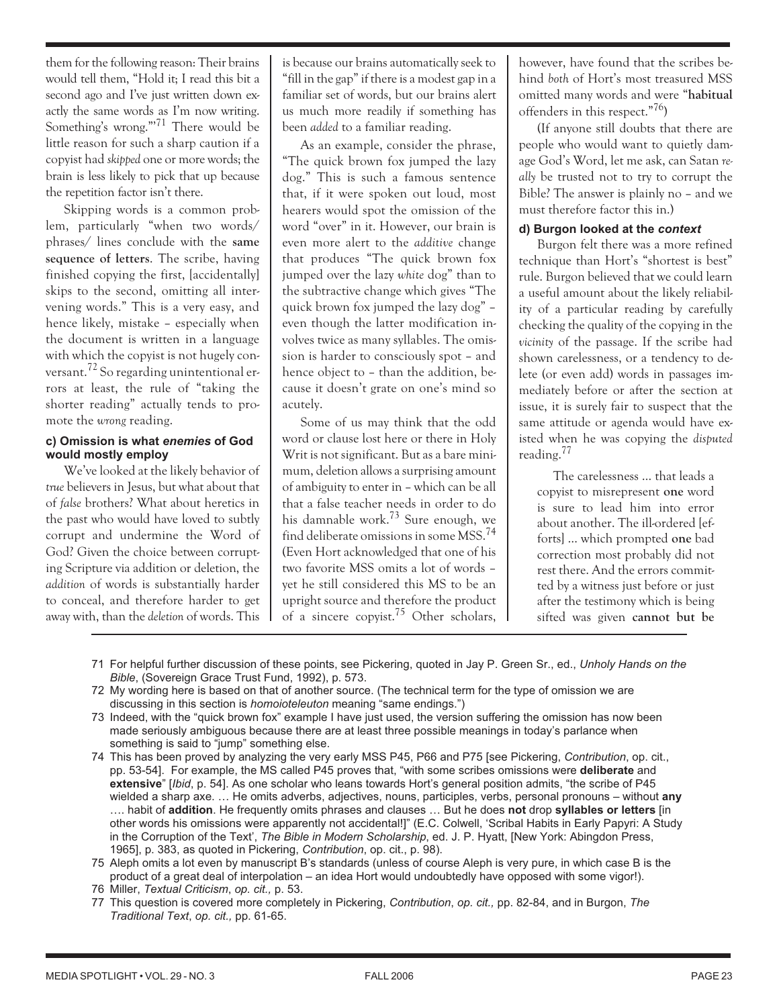them for the following reason: Their brains would tell them, "Hold it; I read this bit a second ago and I've just written down exactly the same words as I'm now writing. Something's wrong."<sup>71</sup> There would be little reason for such a sharp caution if a copyist had *skipped* one or more words; the brain is less likely to pick that up because the repetition factor isn't there.

Skipping words is a common problem, particularly "when two words/ phrases/ lines conclude with the **same sequence of letters**. The scribe, having finished copying the first, [accidentally] skips to the second, omitting all intervening words." This is a very easy, and hence likely, mistake – especially when the document is written in a language with which the copyist is not hugely conversant.<sup>72</sup> So regarding unintentional errors at least, the rule of "taking the shorter reading" actually tends to promote the *wrong* reading.

#### **c) Omission is what** *enemies* **of God would mostly employ**

We've looked at the likely behavior of *true* believers in Jesus, but what about that of *false* brothers? What about heretics in the past who would have loved to subtly corrupt and undermine the Word of God? Given the choice between corrupting Scripture via addition or deletion, the *addition* of words is substantially harder to conceal, and therefore harder to get away with, than the *deletion* of words. This

is because our brains automatically seek to "fill in the gap" if there is a modest gap in a familiar set of words, but our brains alert us much more readily if something has been *added* to a familiar reading.

As an example, consider the phrase, "The quick brown fox jumped the lazy dog." This is such a famous sentence that, if it were spoken out loud, most hearers would spot the omission of the word "over" in it. However, our brain is even more alert to the *additive* change that produces "The quick brown fox jumped over the lazy *white* dog" than to the subtractive change which gives "The quick brown fox jumped the lazy dog" – even though the latter modification involves twice as many syllables. The omission is harder to consciously spot – and hence object to – than the addition, because it doesn't grate on one's mind so acutely.

Some of us may think that the odd word or clause lost here or there in Holy Writ is not significant. But as a bare minimum, deletion allows a surprising amount of ambiguity to enter in – which can be all that a false teacher needs in order to do his damnable work.<sup>73</sup> Sure enough, we find deliberate omissions in some MSS.<sup>74</sup> (Even Hort acknowledged that one of his two favorite MSS omits a lot of words – yet he still considered this MS to be an upright source and therefore the product of a sincere copyist.<sup>75</sup> Other scholars, however, have found that the scribes behind *both* of Hort's most treasured MSS omitted many words and were "**habitual** offenders in this respect."76)

(If anyone still doubts that there are people who would want to quietly damage God's Word, let me ask, can Satan *really* be trusted not to try to corrupt the Bible? The answer is plainly no – and we must therefore factor this in.)

## **d) Burgon looked at the** *context*

Burgon felt there was a more refined technique than Hort's "shortest is best" rule. Burgon believed that we could learn a useful amount about the likely reliability of a particular reading by carefully checking the quality of the copying in the *vicinity* of the passage. If the scribe had shown carelessness, or a tendency to delete (or even add) words in passages immediately before or after the section at issue, it is surely fair to suspect that the same attitude or agenda would have existed when he was copying the *disputed* reading.<sup>77</sup>

The carelessness … that leads a copyist to misrepresent **one** word is sure to lead him into error about another. The ill-ordered [efforts] … which prompted **one** bad correction most probably did not rest there. And the errors committed by a witness just before or just after the testimony which is being sifted was given **cannot but be**

- 71 For helpful further discussion of these points, see Pickering, quoted in Jay P. Green Sr., ed., *Unholy Hands on the Bible*, (Sovereign Grace Trust Fund, 1992), p. 573.
- 72 My wording here is based on that of another source. (The technical term for the type of omission we are discussing in this section is *homoioteleuton* meaning "same endings.")
- 73 Indeed, with the "quick brown fox" example I have just used, the version suffering the omission has now been made seriously ambiguous because there are at least three possible meanings in today's parlance when something is said to "jump" something else.
- 74 This has been proved by analyzing the very early MSS P45, P66 and P75 [see Pickering, *Contribution*, op. cit., pp. 53-54]. For example, the MS called P45 proves that, "with some scribes omissions were **deliberate** and **extensive**" [*Ibid*, p. 54]. As one scholar who leans towards Hort's general position admits, "the scribe of P45 wielded a sharp axe. … He omits adverbs, adjectives, nouns, participles, verbs, personal pronouns – without **any** …. habit of **addition**. He frequently omits phrases and clauses … But he does **not** drop **syllables or letters** [in other words his omissions were apparently not accidental!]" (E.C. Colwell, 'Scribal Habits in Early Papyri: A Study in the Corruption of the Text', *The Bible in Modern Scholarship*, ed. J. P. Hyatt, [New York: Abingdon Press, 1965], p. 383, as quoted in Pickering, *Contribution*, op. cit., p. 98).

75 Aleph omits a lot even by manuscript B's standards (unless of course Aleph is very pure, in which case B is the product of a great deal of interpolation – an idea Hort would undoubtedly have opposed with some vigor!). 76 Miller, *Textual Criticism*, *op. cit.,* p. 53.

- 
- 77 This question is covered more completely in Pickering, *Contribution*, *op. cit.,* pp. 82-84, and in Burgon, *The Traditional Text*, *op. cit.,* pp. 61-65.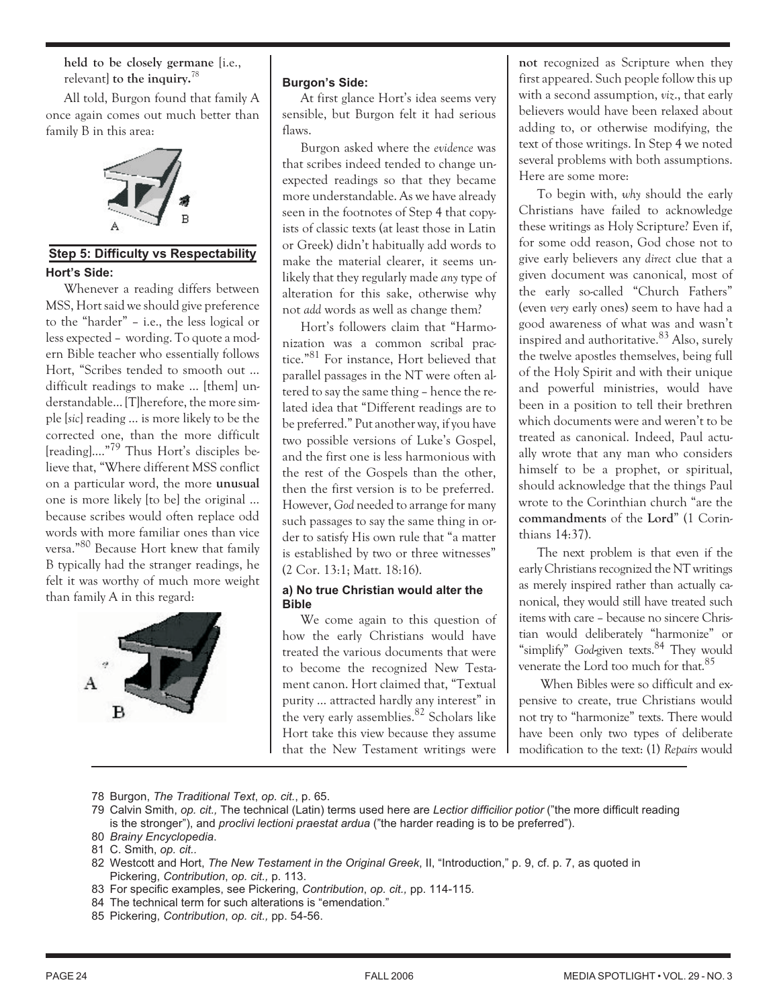**held to be closely germane** [i.e., relevant] **to the inquiry.**<sup>78</sup>

All told, Burgon found that family A once again comes out much better than family B in this area:



# **Step 5: Difficulty vs Respectability Hort's Side:**

Whenever a reading differs between MSS, Hort said we should give preference to the "harder" – i.e., the less logical or less expected – wording. To quote a modern Bible teacher who essentially follows Hort, "Scribes tended to smooth out … difficult readings to make … [them] understandable… [T]herefore, the more simple [*sic*] reading … is more likely to be the corrected one, than the more difficult [reading].…"<sup>79</sup> Thus Hort's disciples believe that, "Where different MSS conflict on a particular word, the more **unusual** one is more likely [to be] the original … because scribes would often replace odd words with more familiar ones than vice versa."<sup>80</sup> Because Hort knew that family B typically had the stranger readings, he felt it was worthy of much more weight than family A in this regard:



#### **Burgon's Side:**

At first glance Hort's idea seems very sensible, but Burgon felt it had serious flaws.

Burgon asked where the *evidence* was that scribes indeed tended to change unexpected readings so that they became more understandable. As we have already seen in the footnotes of Step 4 that copyists of classic texts (at least those in Latin or Greek) didn't habitually add words to make the material clearer, it seems unlikely that they regularly made *any* type of alteration for this sake, otherwise why not *add* words as well as change them?

Hort's followers claim that "Harmonization was a common scribal practice."<sup>81</sup> For instance, Hort believed that parallel passages in the NT were often altered to say the same thing – hence the related idea that "Different readings are to be preferred." Put another way, if you have two possible versions of Luke's Gospel, and the first one is less harmonious with the rest of the Gospels than the other, then the first version is to be preferred. However, *God* needed to arrange for many such passages to say the same thing in order to satisfy His own rule that "a matter is established by two or three witnesses" (2 Cor. 13:1; Matt. 18:16).

## **a) No true Christian would alter the Bible**

We come again to this question of how the early Christians would have treated the various documents that were to become the recognized New Testament canon. Hort claimed that, "Textual purity … attracted hardly any interest" in the very early assemblies.<sup>82</sup> Scholars like Hort take this view because they assume that the New Testament writings were

**not** recognized as Scripture when they first appeared. Such people follow this up with a second assumption, *viz*., that early believers would have been relaxed about adding to, or otherwise modifying, the text of those writings. In Step 4 we noted several problems with both assumptions. Here are some more:

To begin with, *why* should the early Christians have failed to acknowledge these writings as Holy Scripture? Even if, for some odd reason, God chose not to give early believers any *direct* clue that a given document was canonical, most of the early so-called "Church Fathers" (even *very* early ones) seem to have had a good awareness of what was and wasn't inspired and authoritative. $83$  Also, surely the twelve apostles themselves, being full of the Holy Spirit and with their unique and powerful ministries, would have been in a position to tell their brethren which documents were and weren't to be treated as canonical. Indeed, Paul actually wrote that any man who considers himself to be a prophet, or spiritual, should acknowledge that the things Paul wrote to the Corinthian church "are the **commandments** of the **Lord**" (1 Corinthians 14:37).

The next problem is that even if the early Christians recognized the NT writings as merely inspired rather than actually canonical, they would still have treated such items with care – because no sincere Christian would deliberately "harmonize" or "simplify" God-given texts.<sup>84</sup> They would venerate the Lord too much for that.<sup>85</sup>

When Bibles were so difficult and expensive to create, true Christians would not try to "harmonize" texts. There would have been only two types of deliberate modification to the text: (1) *Repairs* would

- 78 Burgon, *The Traditional Text*, *op. cit.*, p. 65.
- 79 Calvin Smith, *op. cit.,* The technical (Latin) terms used here are *Lectior difficilior potior* ("the more difficult reading is the stronger"), and *proclivi lectioni praestat ardua* ("the harder reading is to be preferred"). 80 *Brainy Encyclopedia*.

- 82 Westcott and Hort, *The New Testament in the Original Greek*, II, "Introduction," p. 9, cf. p. 7, as quoted in Pickering, *Contribution*, *op. cit.,* p. 113.
- 83 For specific examples, see Pickering, *Contribution*, *op. cit.,* pp. 114-115*.*
- 84 The technical term for such alterations is "emendation."
- 85 Pickering, *Contribution*, *op. cit.,* pp. 54-56.

<sup>81</sup> C. Smith, *op. cit..*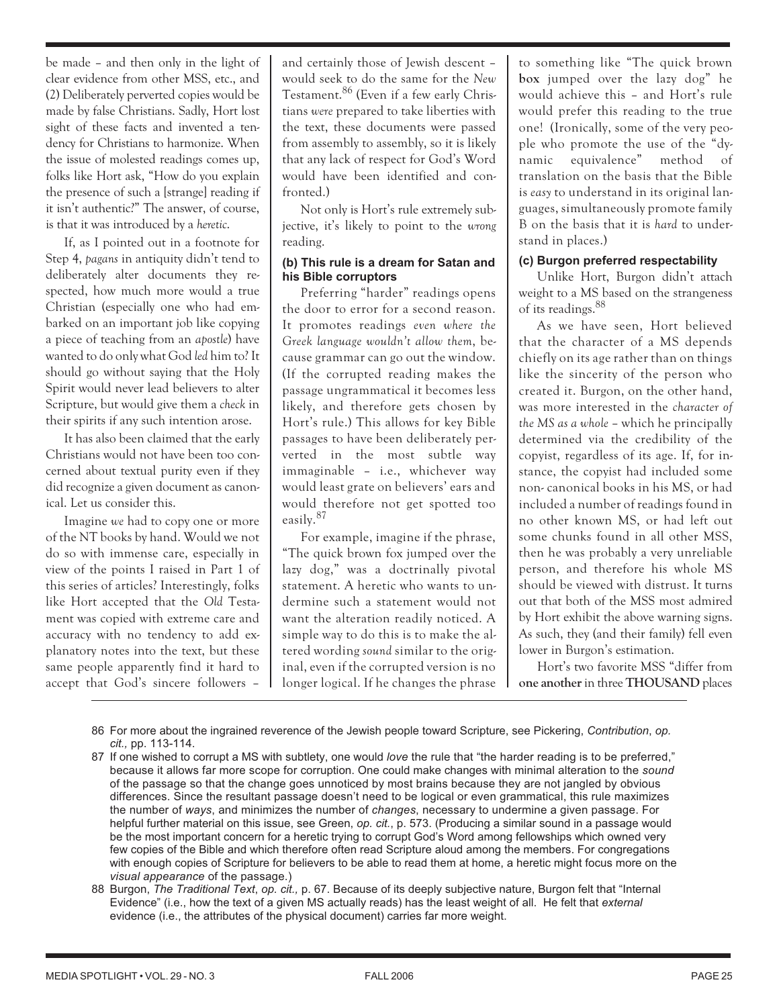be made – and then only in the light of clear evidence from other MSS, etc., and (2) Deliberately perverted copies would be made by false Christians. Sadly, Hort lost sight of these facts and invented a tendency for Christians to harmonize. When the issue of molested readings comes up, folks like Hort ask, "How do you explain the presence of such a [strange] reading if it isn't authentic?" The answer, of course, is that it was introduced by a *heretic*.

If, as I pointed out in a footnote for Step 4, *pagans* in antiquity didn't tend to deliberately alter documents they respected, how much more would a true Christian (especially one who had embarked on an important job like copying a piece of teaching from an *apostle*) have wanted to do only what God *led* him to? It should go without saying that the Holy Spirit would never lead believers to alter Scripture, but would give them a *check* in their spirits if any such intention arose.

It has also been claimed that the early Christians would not have been too concerned about textual purity even if they did recognize a given document as canonical. Let us consider this.

Imagine *we* had to copy one or more of the NT books by hand. Would we not do so with immense care, especially in view of the points I raised in Part 1 of this series of articles? Interestingly, folks like Hort accepted that the *Old* Testament was copied with extreme care and accuracy with no tendency to add explanatory notes into the text, but these same people apparently find it hard to accept that God's sincere followers –

and certainly those of Jewish descent – would seek to do the same for the *New* Testament.<sup>86</sup> (Even if a few early Christians *were* prepared to take liberties with the text, these documents were passed from assembly to assembly, so it is likely that any lack of respect for God's Word would have been identified and confronted.)

Not only is Hort's rule extremely subjective, it's likely to point to the *wrong* reading.

#### **(b) This rule is a dream for Satan and his Bible corruptors**

Preferring "harder" readings opens the door to error for a second reason. It promotes readings *even where the Greek language wouldn't allow them*, because grammar can go out the window. (If the corrupted reading makes the passage ungrammatical it becomes less likely, and therefore gets chosen by Hort's rule.) This allows for key Bible passages to have been deliberately perverted in the most subtle way immaginable – i.e., whichever way would least grate on believers' ears and would therefore not get spotted too easily.<sup>87</sup>

For example, imagine if the phrase, "The quick brown fox jumped over the lazy dog," was a doctrinally pivotal statement. A heretic who wants to undermine such a statement would not want the alteration readily noticed. A simple way to do this is to make the altered wording *sound* similar to the original, even if the corrupted version is no longer logical. If he changes the phrase to something like "The quick brown **box** jumped over the lazy dog" he would achieve this – and Hort's rule would prefer this reading to the true one! (Ironically, some of the very people who promote the use of the "dynamic equivalence" method of translation on the basis that the Bible is *easy* to understand in its original languages, simultaneously promote family B on the basis that it is *hard* to understand in places.)

## **(c) Burgon preferred respectability**

Unlike Hort, Burgon didn't attach weight to a MS based on the strangeness of its readings.<sup>88</sup>

As we have seen, Hort believed that the character of a MS depends chiefly on its age rather than on things like the sincerity of the person who created it. Burgon, on the other hand, was more interested in the *character of the MS as a whole* – which he principally determined via the credibility of the copyist, regardless of its age. If, for instance, the copyist had included some non- canonical books in his MS, or had included a number of readings found in no other known MS, or had left out some chunks found in all other MSS, then he was probably a very unreliable person, and therefore his whole MS should be viewed with distrust. It turns out that both of the MSS most admired by Hort exhibit the above warning signs. As such, they (and their family) fell even lower in Burgon's estimation.

Hort's two favorite MSS "differ from **one another**in three **THOUSAND** places

- 86 For more about the ingrained reverence of the Jewish people toward Scripture, see Pickering, *Contribution*, *op. cit.,* pp. 113-114.
- 87 If one wished to corrupt a MS with subtlety, one would *love* the rule that "the harder reading is to be preferred," because it allows far more scope for corruption. One could make changes with minimal alteration to the *sound* of the passage so that the change goes unnoticed by most brains because they are not jangled by obvious differences. Since the resultant passage doesn't need to be logical or even grammatical, this rule maximizes the number of *ways*, and minimizes the number of *changes*, necessary to undermine a given passage. For helpful further material on this issue, see Green, *op. cit.*, p. 573. (Producing a similar sound in a passage would be the most important concern for a heretic trying to corrupt God's Word among fellowships which owned very few copies of the Bible and which therefore often read Scripture aloud among the members. For congregations with enough copies of Scripture for believers to be able to read them at home, a heretic might focus more on the *visual appearance* of the passage.)
- 88 Burgon, *The Traditional Text*, *op. cit.,* p. 67. Because of its deeply subjective nature, Burgon felt that "Internal Evidence" (i.e., how the text of a given MS actually reads) has the least weight of all. He felt that *external* evidence (i.e., the attributes of the physical document) carries far more weight.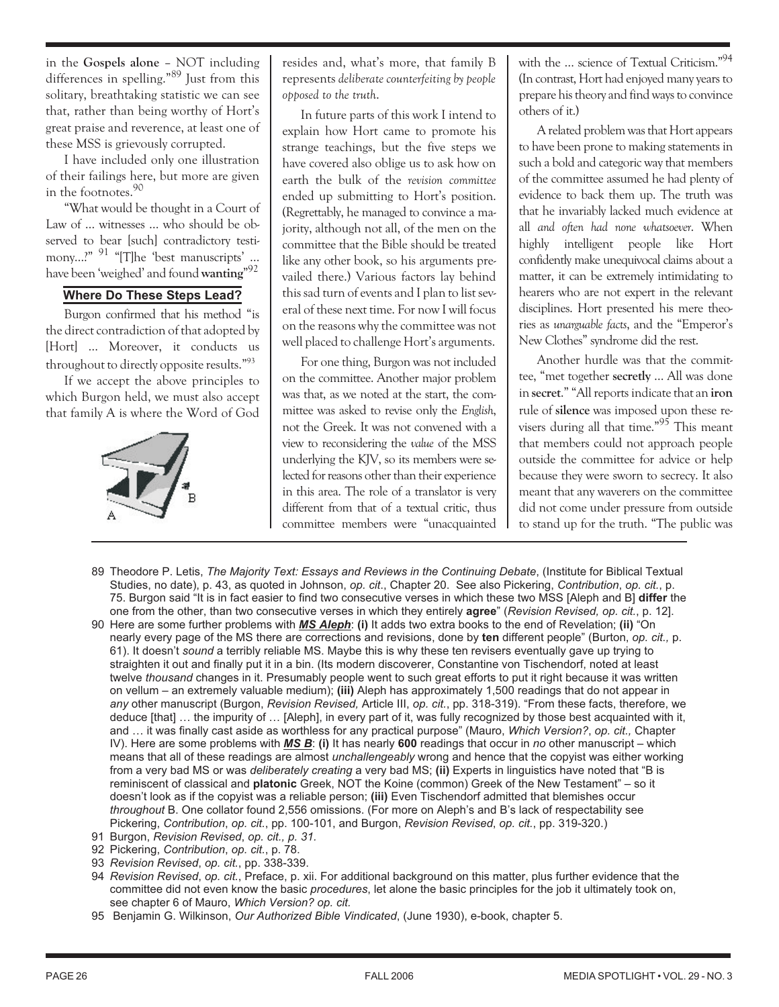in the **Gospels alone** – NOT including differences in spelling."<sup>89</sup> Just from this solitary, breathtaking statistic we can see that, rather than being worthy of Hort's great praise and reverence, at least one of these MSS is grievously corrupted.

I have included only one illustration of their failings here, but more are given in the footnotes.<sup>90</sup>

"What would be thought in a Court of Law of … witnesses … who should be observed to bear [such] contradictory testimony…?" <sup>91</sup> "[T]he 'best manuscripts' … have been 'weighed' and found**wanting**" 92

# **Where Do These Steps Lead?**

Burgon confirmed that his method "is the direct contradiction of that adopted by [Hort] … Moreover, it conducts us throughout to directly opposite results."93

If we accept the above principles to which Burgon held, we must also accept that family A is where the Word of God



resides and, what's more, that family B represents *deliberate counterfeiting by people opposed to the truth*.

In future parts of this work I intend to explain how Hort came to promote his strange teachings, but the five steps we have covered also oblige us to ask how on earth the bulk of the *revision committee* ended up submitting to Hort's position. (Regrettably, he managed to convince a majority, although not all, of the men on the committee that the Bible should be treated like any other book, so his arguments prevailed there.) Various factors lay behind this sad turn of events and I plan to list several of these next time. For now I will focus on the reasons why the committee was not well placed to challenge Hort's arguments.

For one thing, Burgon was not included on the committee. Another major problem was that, as we noted at the start, the committee was asked to revise only the *English*, not the Greek. It was not convened with a view to reconsidering the *value* of the MSS underlying the KJV, so its members were selected for reasons other than their experience in this area. The role of a translator is very different from that of a textual critic, thus committee members were "unacquainted with the ... science of Textual Criticism."<sup>94</sup> (In contrast, Hort had enjoyed many years to prepare his theory and find ways to convince others of it.)

A related problem was that Hort appears to have been prone to making statements in such a bold and categoric way that members of the committee assumed he had plenty of evidence to back them up. The truth was that he invariably lacked much evidence at all *and often had none whatsoever*. When highly intelligent people like Hort confidently make unequivocal claims about a matter, it can be extremely intimidating to hearers who are not expert in the relevant disciplines. Hort presented his mere theories as *unarguable facts*, and the "Emperor's New Clothes" syndrome did the rest.

Another hurdle was that the committee, "met together **secretly** … All was done in **secret**." "All reports indicate that an **iron** rule of **silence** was imposed upon these revisers during all that time."<sup>95</sup> This meant that members could not approach people outside the committee for advice or help because they were sworn to secrecy. It also meant that any waverers on the committee did not come under pressure from outside to stand up for the truth. "The public was

- 89 Theodore P. Letis, *The Majority Text: Essays and Reviews in the Continuing Debate*, (Institute for Biblical Textual Studies, no date), p. 43, as quoted in Johnson, *op. cit*., Chapter 20. See also Pickering, *Contribution*, *op. cit.*, p. 75. Burgon said "It is in fact easier to find two consecutive verses in which these two MSS [Aleph and B] **differ** the one from the other, than two consecutive verses in which they entirely **agree**" (*Revision Revised, op. cit.*, p. 12].
- 90 Here are some further problems with *MS Aleph*: **(i)** It adds two extra books to the end of Revelation; **(ii)** "On nearly every page of the MS there are corrections and revisions, done by **ten** different people" (Burton, *op. cit.,* p. 61). It doesn't *sound* a terribly reliable MS. Maybe this is why these ten revisers eventually gave up trying to straighten it out and finally put it in a bin. (Its modern discoverer, Constantine von Tischendorf, noted at least twelve *thousand* changes in it. Presumably people went to such great efforts to put it right because it was written on vellum – an extremely valuable medium); **(iii)** Aleph has approximately 1,500 readings that do not appear in *any* other manuscript (Burgon, *Revision Revised,* Article III, *op. cit.*, pp. 318-319). "From these facts, therefore, we deduce [that] … the impurity of … [Aleph], in every part of it, was fully recognized by those best acquainted with it, and … it was finally cast aside as worthless for any practical purpose" (Mauro, *Which Version?*, *op. cit.,* Chapter IV). Here are some problems with *MS B*: **(i)** It has nearly **600** readings that occur in *no* other manuscript – which means that all of these readings are almost *unchallengeably* wrong and hence that the copyist was either working from a very bad MS or was *deliberately creating* a very bad MS; **(ii)** Experts in linguistics have noted that "B is reminiscent of classical and **platonic** Greek, NOT the Koine (common) Greek of the New Testament" – so it doesn't look as if the copyist was a reliable person; **(iii)** Even Tischendorf admitted that blemishes occur *throughout* B. One collator found 2,556 omissions. (For more on Aleph's and B's lack of respectability see Pickering, *Contribution*, *op. cit.*, pp. 100-101, and Burgon, *Revision Revised*, *op. cit.*, pp. 319-320.)
- 91 Burgon, *Revision Revised*, *op. cit., p. 31.*
- 92 Pickering, *Contribution*, *op. cit.*, p. 78.
- 93 *Revision Revised*, *op. cit.*, pp. 338-339.
- 94 *Revision Revised*, *op. cit.*, Preface, p. xii. For additional background on this matter, plus further evidence that the committee did not even know the basic *procedures*, let alone the basic principles for the job it ultimately took on, see chapter 6 of Mauro, *Which Version? op. cit.*
- 95 Benjamin G. Wilkinson, *Our Authorized Bible Vindicated*, (June 1930), e-book, chapter 5.